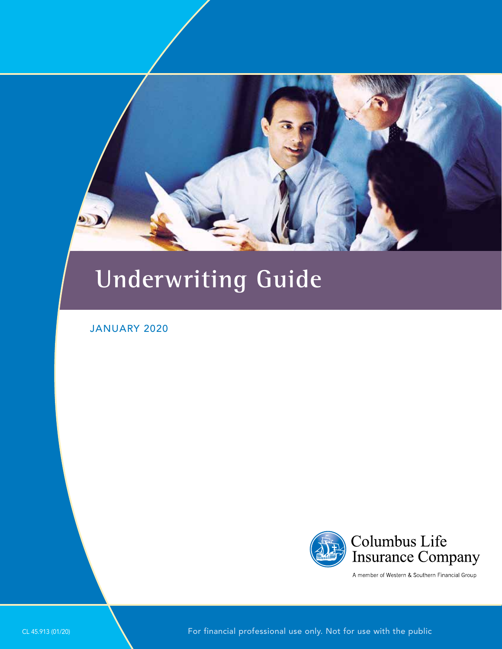# **Underwriting Guide**

### JANUARY 2020



A member of Western & Southern Financial Group

CL 45.913 (01/20) For financial professional use only. Not for use with the public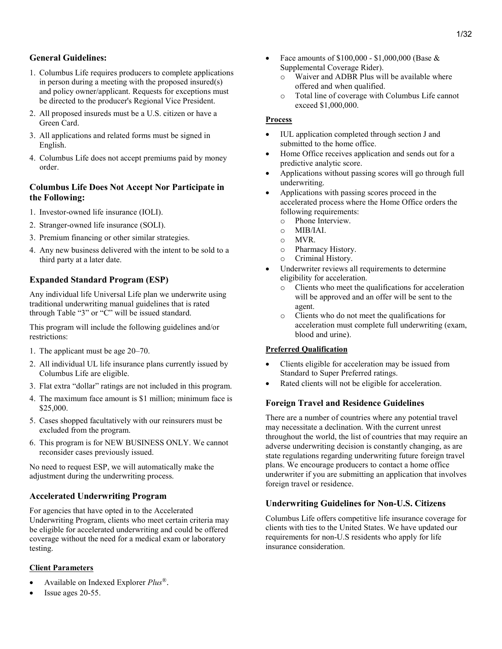- 1. Columbus Life requires producers to complete applications in person during a meeting with the proposed insured(s) and policy owner/applicant. Requests for exceptions must be directed to the producer's Regional Vice President.
- 2. All proposed insureds must be a U.S. citizen or have a Green Card.
- 3. All applications and related forms must be signed in English.
- 4. Columbus Life does not accept premiums paid by money order.

### Columbus Life Does Not Accept Nor Participate in the Following:

- 1. Investor-owned life insurance (IOLI).
- 2. Stranger-owned life insurance (SOLI).
- 3. Premium financing or other similar strategies.
- 4. Any new business delivered with the intent to be sold to a third party at a later date.

### Expanded Standard Program (ESP)

Any individual life Universal Life plan we underwrite using traditional underwriting manual guidelines that is rated through Table "3" or "C" will be issued standard.

This program will include the following guidelines and/or restrictions:

- 1. The applicant must be age 20–70.
- 2. All individual UL life insurance plans currently issued by Columbus Life are eligible.
- 3. Flat extra "dollar" ratings are not included in this program.
- 4. The maximum face amount is \$1 million; minimum face is \$25,000.
- 5. Cases shopped facultatively with our reinsurers must be excluded from the program.
- 6. This program is for NEW BUSINESS ONLY. We cannot reconsider cases previously issued.

No need to request ESP, we will automatically make the adjustment during the underwriting process.

### Accelerated Underwriting Program

For agencies that have opted in to the Accelerated Underwriting Program, clients who meet certain criteria may be eligible for accelerated underwriting and could be offered coverage without the need for a medical exam or laboratory testing.

### Client Parameters

- Available on Indexed Explorer  $Plus^{\circledR}$ .
- Issue ages 20-55.
- Face amounts of  $$100,000 $1,000,000$  (Base & Supplemental Coverage Rider).
	- o Waiver and ADBR Plus will be available where offered and when qualified.
	- o Total line of coverage with Columbus Life cannot exceed \$1,000,000.

### Process

- IUL application completed through section J and submitted to the home office.
- Home Office receives application and sends out for a predictive analytic score.
- Applications without passing scores will go through full underwriting.
- Applications with passing scores proceed in the accelerated process where the Home Office orders the following requirements:
	- o Phone Interview.
	- $O$  MIB/IAI.
	- o MVR.
	- o Pharmacy History.
	- o Criminal History.
- Underwriter reviews all requirements to determine eligibility for acceleration.
	- o Clients who meet the qualifications for acceleration will be approved and an offer will be sent to the agent.
	- o Clients who do not meet the qualifications for acceleration must complete full underwriting (exam, blood and urine).

### Preferred Qualification

- Clients eligible for acceleration may be issued from Standard to Super Preferred ratings.
- Rated clients will not be eligible for acceleration.

### Foreign Travel and Residence Guidelines

There are a number of countries where any potential travel may necessitate a declination. With the current unrest throughout the world, the list of countries that may require an adverse underwriting decision is constantly changing, as are state regulations regarding underwriting future foreign travel plans. We encourage producers to contact a home office underwriter if you are submitting an application that involves foreign travel or residence.

### Underwriting Guidelines for Non-U.S. Citizens

Columbus Life offers competitive life insurance coverage for clients with ties to the United States. We have updated our requirements for non-U.S residents who apply for life insurance consideration.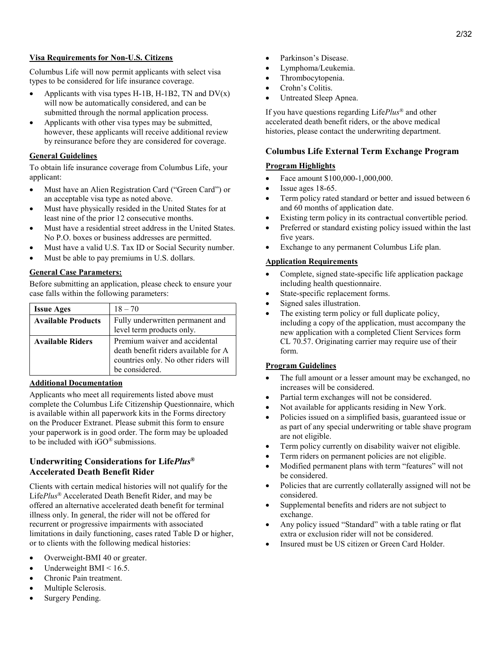#### Visa Requirements for Non-U.S. Citizens

Columbus Life will now permit applicants with select visa types to be considered for life insurance coverage.

- Applicants with visa types H-1B, H-1B2, TN and  $DV(x)$ will now be automatically considered, and can be submitted through the normal application process.
- Applicants with other visa types may be submitted, however, these applicants will receive additional review by reinsurance before they are considered for coverage.

#### General Guidelines

To obtain life insurance coverage from Columbus Life, your applicant:

- Must have an Alien Registration Card ("Green Card") or an acceptable visa type as noted above.
- Must have physically resided in the United States for at least nine of the prior 12 consecutive months.
- Must have a residential street address in the United States. No P.O. boxes or business addresses are permitted.
- Must have a valid U.S. Tax ID or Social Security number.
- Must be able to pay premiums in U.S. dollars.

#### General Case Parameters:

Before submitting an application, please check to ensure your case falls within the following parameters:

| <b>Issue Ages</b>         | $18 - 70$                                                                                                                       |
|---------------------------|---------------------------------------------------------------------------------------------------------------------------------|
| <b>Available Products</b> | Fully underwritten permanent and<br>level term products only.                                                                   |
| <b>Available Riders</b>   | Premium waiver and accidental<br>death benefit riders available for A<br>countries only. No other riders will<br>be considered. |

#### Additional Documentation

Applicants who meet all requirements listed above must complete the Columbus Life Citizenship Questionnaire, which is available within all paperwork kits in the Forms directory on the Producer Extranet. Please submit this form to ensure your paperwork is in good order. The form may be uploaded to be included with iGO® submissions.

### Underwriting Considerations for LifePlus® Accelerated Death Benefit Rider

Clients with certain medical histories will not qualify for the LifePlus® Accelerated Death Benefit Rider, and may be offered an alternative accelerated death benefit for terminal illness only. In general, the rider will not be offered for recurrent or progressive impairments with associated limitations in daily functioning, cases rated Table D or higher, or to clients with the following medical histories:

- Overweight-BMI 40 or greater.
- Underweight BMI < 16.5.
- Chronic Pain treatment.
- Multiple Sclerosis.
- Surgery Pending.
- Parkinson's Disease.
- Lymphoma/Leukemia.
- Thrombocytopenia.
- Crohn's Colitis.
- Untreated Sleep Apnea.

If you have questions regarding Life $Plus^{\circledR}$  and other accelerated death benefit riders, or the above medical histories, please contact the underwriting department.

### Columbus Life External Term Exchange Program

#### Program Highlights

- Face amount \$100,000-1,000,000.
- Issue ages 18-65.
- Term policy rated standard or better and issued between 6 and 60 months of application date.
- Existing term policy in its contractual convertible period.
- Preferred or standard existing policy issued within the last five years.
- Exchange to any permanent Columbus Life plan.

#### Application Requirements

- Complete, signed state-specific life application package including health questionnaire.
- State-specific replacement forms.
- Signed sales illustration.
- The existing term policy or full duplicate policy, including a copy of the application, must accompany the new application with a completed Client Services form CL 70.57. Originating carrier may require use of their form.

#### Program Guidelines

- The full amount or a lesser amount may be exchanged, no increases will be considered.
- Partial term exchanges will not be considered.
- Not available for applicants residing in New York.
- Policies issued on a simplified basis, guaranteed issue or as part of any special underwriting or table shave program are not eligible.
- Term policy currently on disability waiver not eligible.
- Term riders on permanent policies are not eligible.
- Modified permanent plans with term "features" will not be considered.
- Policies that are currently collaterally assigned will not be considered.
- Supplemental benefits and riders are not subject to exchange.
- Any policy issued "Standard" with a table rating or flat extra or exclusion rider will not be considered.
- Insured must be US citizen or Green Card Holder.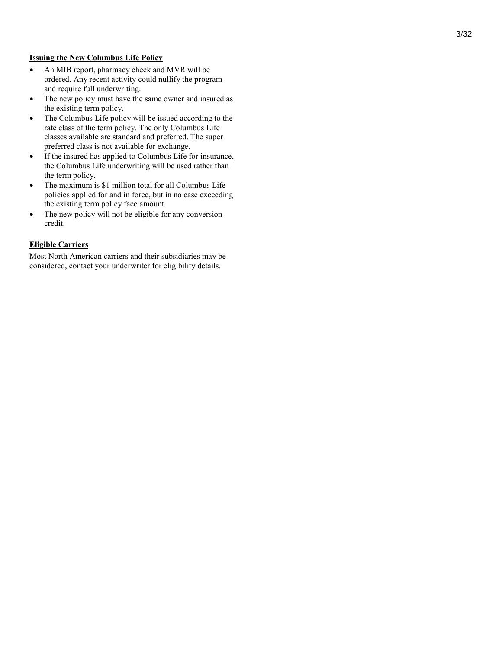#### Issuing the New Columbus Life Policy

- An MIB report, pharmacy check and MVR will be ordered. Any recent activity could nullify the program and require full underwriting.
- The new policy must have the same owner and insured as the existing term policy.
- The Columbus Life policy will be issued according to the rate class of the term policy. The only Columbus Life classes available are standard and preferred. The super preferred class is not available for exchange.
- If the insured has applied to Columbus Life for insurance, the Columbus Life underwriting will be used rather than the term policy.
- The maximum is \$1 million total for all Columbus Life policies applied for and in force, but in no case exceeding the existing term policy face amount.
- The new policy will not be eligible for any conversion credit.

#### Eligible Carriers

Most North American carriers and their subsidiaries may be considered, contact your underwriter for eligibility details.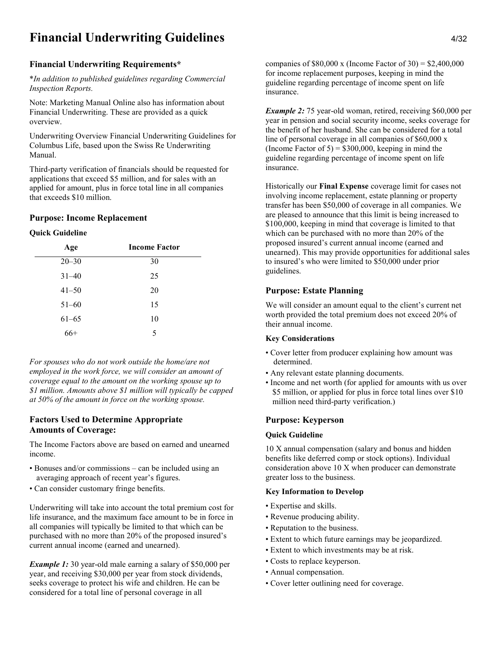### Financial Underwriting Guidelines 4/32

### Financial Underwriting Requirements\*

\*In addition to published guidelines regarding Commercial Inspection Reports.

Note: Marketing Manual Online also has information about Financial Underwriting. These are provided as a quick overview.

Underwriting Overview Financial Underwriting Guidelines for Columbus Life, based upon the Swiss Re Underwriting Manual.

Third-party verification of financials should be requested for applications that exceed \$5 million, and for sales with an applied for amount, plus in force total line in all companies that exceeds \$10 million.

#### Purpose: Income Replacement

#### Quick Guideline

| Age       | <b>Income Factor</b> |
|-----------|----------------------|
| $20 - 30$ | 30                   |
| $31 - 40$ | 25                   |
| $41 - 50$ | 20                   |
| $51 - 60$ | 15                   |
| $61 - 65$ | 10                   |
| $66+$     | 5                    |

For spouses who do not work outside the home/are not employed in the work force, we will consider an amount of coverage equal to the amount on the working spouse up to \$1 million. Amounts above \$1 million will typically be capped at 50% of the amount in force on the working spouse.

#### Factors Used to Determine Appropriate Amounts of Coverage:

The Income Factors above are based on earned and unearned income.

- Bonuses and/or commissions can be included using an averaging approach of recent year's figures.
- Can consider customary fringe benefits.

Underwriting will take into account the total premium cost for life insurance, and the maximum face amount to be in force in all companies will typically be limited to that which can be purchased with no more than 20% of the proposed insured's current annual income (earned and unearned).

**Example 1:** 30 year-old male earning a salary of \$50,000 per year, and receiving \$30,000 per year from stock dividends, seeks coverage to protect his wife and children. He can be considered for a total line of personal coverage in all

companies of  $$80,000 \times (Income Factor of 30) = $2,400,000$ for income replacement purposes, keeping in mind the guideline regarding percentage of income spent on life insurance.

**Example 2:** 75 year-old woman, retired, receiving \$60,000 per year in pension and social security income, seeks coverage for the benefit of her husband. She can be considered for a total line of personal coverage in all companies of \$60,000 x (Income Factor of  $5$ ) = \$300,000, keeping in mind the guideline regarding percentage of income spent on life insurance.

Historically our Final Expense coverage limit for cases not involving income replacement, estate planning or property transfer has been \$50,000 of coverage in all companies. We are pleased to announce that this limit is being increased to \$100,000, keeping in mind that coverage is limited to that which can be purchased with no more than 20% of the proposed insured's current annual income (earned and unearned). This may provide opportunities for additional sales to insured's who were limited to \$50,000 under prior guidelines.

### Purpose: Estate Planning

We will consider an amount equal to the client's current net worth provided the total premium does not exceed 20% of their annual income.

#### Key Considerations

- Cover letter from producer explaining how amount was determined.
- Any relevant estate planning documents.
- Income and net worth (for applied for amounts with us over \$5 million, or applied for plus in force total lines over \$10 million need third-party verification.)

#### Purpose: Keyperson

#### Quick Guideline

10 X annual compensation (salary and bonus and hidden benefits like deferred comp or stock options). Individual consideration above 10 X when producer can demonstrate greater loss to the business.

#### Key Information to Develop

- Expertise and skills.
- Revenue producing ability.
- Reputation to the business.
- Extent to which future earnings may be jeopardized.
- Extent to which investments may be at risk.
- Costs to replace keyperson.
- Annual compensation.
- Cover letter outlining need for coverage.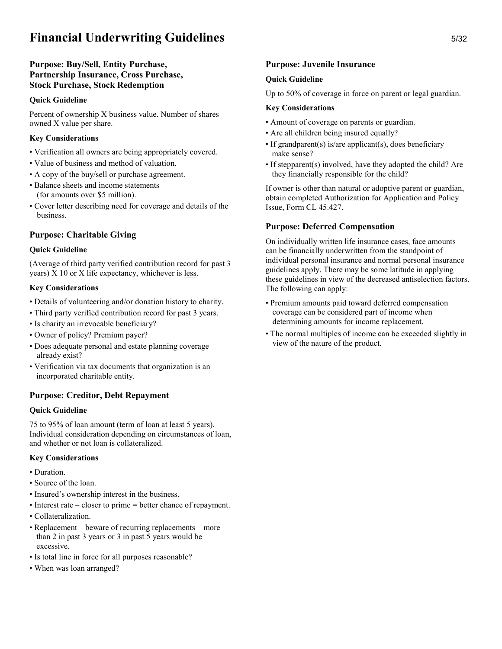### Financial Underwriting Guidelines 5/32

### Purpose: Buy/Sell, Entity Purchase, Partnership Insurance, Cross Purchase, Stock Purchase, Stock Redemption

#### Quick Guideline

Percent of ownership X business value. Number of shares owned X value per share.

#### Key Considerations

- Verification all owners are being appropriately covered.
- Value of business and method of valuation.
- A copy of the buy/sell or purchase agreement.
- Balance sheets and income statements (for amounts over \$5 million).
- Cover letter describing need for coverage and details of the business.

### Purpose: Charitable Giving

#### Quick Guideline

(Average of third party verified contribution record for past 3 years) X 10 or X life expectancy, whichever is less.

#### Key Considerations

- Details of volunteering and/or donation history to charity.
- Third party verified contribution record for past 3 years.
- Is charity an irrevocable beneficiary?
- Owner of policy? Premium payer?
- Does adequate personal and estate planning coverage already exist?
- Verification via tax documents that organization is an incorporated charitable entity.

### Purpose: Creditor, Debt Repayment

### Quick Guideline

75 to 95% of loan amount (term of loan at least 5 years). Individual consideration depending on circumstances of loan, and whether or not loan is collateralized.

#### Key Considerations

- Duration.
- Source of the loan.
- Insured's ownership interest in the business.
- Interest rate closer to prime = better chance of repayment.
- Collateralization.
- Replacement beware of recurring replacements more than 2 in past 3 years or 3 in past 5 years would be excessive.
- Is total line in force for all purposes reasonable?
- When was loan arranged?

### Purpose: Juvenile Insurance

### Quick Guideline

Up to 50% of coverage in force on parent or legal guardian.

#### Key Considerations

- Amount of coverage on parents or guardian.
- Are all children being insured equally?
- If grandparent(s) is/are applicant(s), does beneficiary make sense?
- If stepparent(s) involved, have they adopted the child? Are they financially responsible for the child?

If owner is other than natural or adoptive parent or guardian, obtain completed Authorization for Application and Policy Issue, Form CL 45.427.

### Purpose: Deferred Compensation

On individually written life insurance cases, face amounts can be financially underwritten from the standpoint of individual personal insurance and normal personal insurance guidelines apply. There may be some latitude in applying these guidelines in view of the decreased antiselection factors. The following can apply:

- Premium amounts paid toward deferred compensation coverage can be considered part of income when determining amounts for income replacement.
- The normal multiples of income can be exceeded slightly in view of the nature of the product.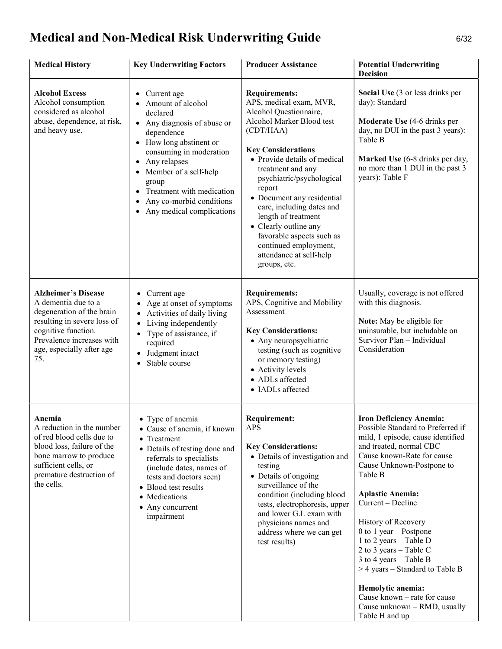# Medical and Non-Medical Risk Underwriting Guide 6/32

| <b>Medical History</b>                                                                                                                                                                                | <b>Key Underwriting Factors</b>                                                                                                                                                                                                                                                                                                | <b>Producer Assistance</b>                                                                                                                                                                                                                                                                                                                                                                                                                               | <b>Potential Underwriting</b><br><b>Decision</b>                                                                                                                                                                                                                                                                                                                                                                                                                                                                                             |
|-------------------------------------------------------------------------------------------------------------------------------------------------------------------------------------------------------|--------------------------------------------------------------------------------------------------------------------------------------------------------------------------------------------------------------------------------------------------------------------------------------------------------------------------------|----------------------------------------------------------------------------------------------------------------------------------------------------------------------------------------------------------------------------------------------------------------------------------------------------------------------------------------------------------------------------------------------------------------------------------------------------------|----------------------------------------------------------------------------------------------------------------------------------------------------------------------------------------------------------------------------------------------------------------------------------------------------------------------------------------------------------------------------------------------------------------------------------------------------------------------------------------------------------------------------------------------|
| <b>Alcohol Excess</b><br>Alcohol consumption<br>considered as alcohol<br>abuse, dependence, at risk,<br>and heavy use.                                                                                | Current age<br>$\bullet$<br>Amount of alcohol<br>declared<br>• Any diagnosis of abuse or<br>dependence<br>• How long abstinent or<br>consuming in moderation<br>Any relapses<br>Member of a self-help<br>$\bullet$<br>group<br>Treatment with medication<br>Any co-morbid conditions<br>Any medical complications<br>$\bullet$ | <b>Requirements:</b><br>APS, medical exam, MVR,<br>Alcohol Questionnaire,<br>Alcohol Marker Blood test<br>(CDT/HAA)<br><b>Key Considerations</b><br>• Provide details of medical<br>treatment and any<br>psychiatric/psychological<br>report<br>• Document any residential<br>care, including dates and<br>length of treatment<br>• Clearly outline any<br>favorable aspects such as<br>continued employment,<br>attendance at self-help<br>groups, etc. | Social Use (3 or less drinks per<br>day): Standard<br><b>Moderate Use</b> (4-6 drinks per<br>day, no DUI in the past 3 years):<br>Table B<br>Marked Use (6-8 drinks per day,<br>no more than 1 DUI in the past 3<br>years): Table F                                                                                                                                                                                                                                                                                                          |
| <b>Alzheimer's Disease</b><br>A dementia due to a<br>degeneration of the brain<br>resulting in severe loss of<br>cognitive function.<br>Prevalence increases with<br>age, especially after age<br>75. | Current age<br>Age at onset of symptoms<br>• Activities of daily living<br>Living independently<br>$\bullet$<br>Type of assistance, if<br>$\bullet$<br>required<br>Judgment intact<br>Stable course<br>$\bullet$                                                                                                               | <b>Requirements:</b><br>APS, Cognitive and Mobility<br>Assessment<br><b>Key Considerations:</b><br>• Any neuropsychiatric<br>testing (such as cognitive<br>or memory testing)<br>• Activity levels<br>• ADLs affected<br>• IADLs affected                                                                                                                                                                                                                | Usually, coverage is not offered<br>with this diagnosis.<br>Note: May be eligible for<br>uninsurable, but includable on<br>Survivor Plan - Individual<br>Consideration                                                                                                                                                                                                                                                                                                                                                                       |
| Anemia<br>A reduction in the number<br>of red blood cells due to<br>blood loss, failure of the<br>bone marrow to produce<br>sufficient cells, or<br>premature destruction of<br>the cells.            | • Type of anemia<br>• Cause of anemia, if known<br>• Treatment<br>• Details of testing done and<br>referrals to specialists<br>(include dates, names of<br>tests and doctors seen)<br>• Blood test results<br>• Medications<br>• Any concurrent<br>impairment                                                                  | <b>Requirement:</b><br><b>APS</b><br><b>Key Considerations:</b><br>• Details of investigation and<br>testing<br>• Details of ongoing<br>surveillance of the<br>condition (including blood<br>tests, electrophoresis, upper<br>and lower G.I. exam with<br>physicians names and<br>address where we can get<br>test results)                                                                                                                              | <b>Iron Deficiency Anemia:</b><br>Possible Standard to Preferred if<br>mild, 1 episode, cause identified<br>and treated, normal CBC<br>Cause known-Rate for cause<br>Cause Unknown-Postpone to<br>Table B<br><b>Aplastic Anemia:</b><br>Current - Decline<br>History of Recovery<br>0 to 1 year $-$ Postpone<br>1 to 2 years $-$ Table D<br>2 to 3 years $-$ Table C<br>3 to 4 years $-$ Table B<br>$>$ 4 years – Standard to Table B<br>Hemolytic anemia:<br>Cause known - rate for cause<br>Cause unknown - RMD, usually<br>Table H and up |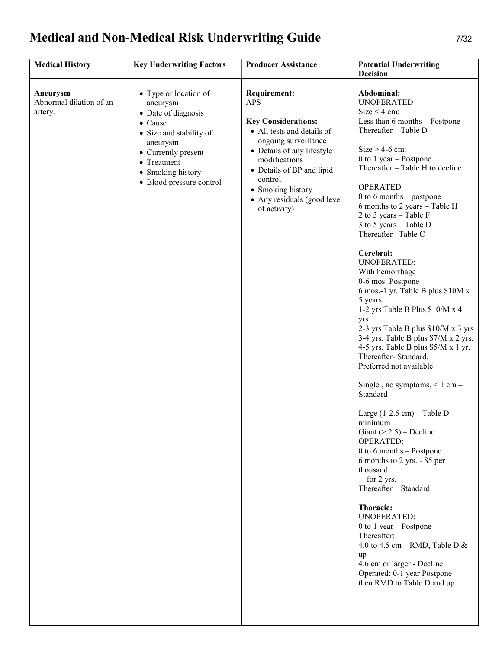# Medical and Non-Medical Risk Underwriting Guide 7/32

| <b>Medical History</b>                         | <b>Key Underwriting Factors</b>                                                                                                                                                                   | <b>Producer Assistance</b>                                                                                                                                                                                                                                                       | <b>Potential Underwriting</b><br>Decision                                                                                                                                                                                                                                                                                                                                                                                                                                                                                                                                                                                                                                                                                                                                                                                                                                                                                                                                                                                                                                                                                                                                                                |
|------------------------------------------------|---------------------------------------------------------------------------------------------------------------------------------------------------------------------------------------------------|----------------------------------------------------------------------------------------------------------------------------------------------------------------------------------------------------------------------------------------------------------------------------------|----------------------------------------------------------------------------------------------------------------------------------------------------------------------------------------------------------------------------------------------------------------------------------------------------------------------------------------------------------------------------------------------------------------------------------------------------------------------------------------------------------------------------------------------------------------------------------------------------------------------------------------------------------------------------------------------------------------------------------------------------------------------------------------------------------------------------------------------------------------------------------------------------------------------------------------------------------------------------------------------------------------------------------------------------------------------------------------------------------------------------------------------------------------------------------------------------------|
| Aneurysm<br>Abnormal dilation of an<br>artery. | • Type or location of<br>aneurysm<br>• Date of diagnosis<br>• Cause<br>• Size and stability of<br>aneurysm<br>• Currently present<br>• Treatment<br>• Smoking history<br>• Blood pressure control | <b>Requirement:</b><br><b>APS</b><br><b>Key Considerations:</b><br>• All tests and details of<br>ongoing surveillance<br>• Details of any lifestyle<br>modifications<br>• Details of BP and lipid<br>control<br>• Smoking history<br>• Any residuals (good level<br>of activity) | Abdominal:<br><b>UNOPERATED</b><br>Size $<$ 4 cm:<br>Less than 6 months - Postpone<br>Thereafter - Table D<br>$Size > 4-6$ cm:<br>$0$ to $1$ year $-$ Postpone<br>Thereafter - Table H to decline<br><b>OPERATED</b><br>$0$ to 6 months – postpone<br>6 months to 2 years - Table H<br>2 to 3 years - Table F<br>3 to 5 years - Table D<br>Thereafter-Table C<br>Cerebral:<br><b>UNOPERATED:</b><br>With hemorrhage<br>0-6 mos. Postpone<br>6 mos.-1 yr. Table B plus \$10M x<br>5 years<br>1-2 yrs Table B Plus \$10/M x 4<br>yrs<br>2-3 yrs Table B plus \$10/M x 3 yrs<br>3-4 yrs. Table B plus \$7/M x 2 yrs.<br>4-5 yrs. Table B plus $$5/M \times 1$ yr.<br>Thereafter-Standard.<br>Preferred not available<br>Single, no symptoms, $\leq 1$ cm –<br>Standard<br>Large $(1-2.5$ cm $)$ – Table D<br>minimum<br>Giant ( $> 2.5$ ) – Decline<br><b>OPERATED:</b><br>$0$ to 6 months $-$ Postpone<br>6 months to 2 yrs. - \$5 per<br>thousand<br>for 2 yrs.<br>Thereafter - Standard<br>Thoracic:<br><b>UNOPERATED:</b><br>0 to 1 year $-$ Postpone<br>Thereafter:<br>4.0 to 4.5 cm – RMD, Table D &<br>up<br>4.6 cm or larger - Decline<br>Operated: 0-1 year Postpone<br>then RMD to Table D and up |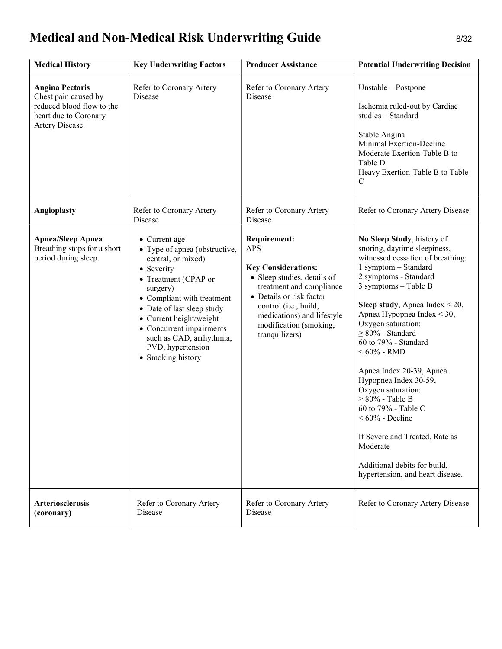# Medical and Non-Medical Risk Underwriting Guide 8/32

| <b>Medical History</b>                                                                                                  | <b>Key Underwriting Factors</b>                                                                                                                                                                                                                                                                                 | <b>Producer Assistance</b>                                                                                                                                                                                                                                | <b>Potential Underwriting Decision</b>                                                                                                                                                                                                                                                                                                                                                                                                                                                                                                                                                                             |
|-------------------------------------------------------------------------------------------------------------------------|-----------------------------------------------------------------------------------------------------------------------------------------------------------------------------------------------------------------------------------------------------------------------------------------------------------------|-----------------------------------------------------------------------------------------------------------------------------------------------------------------------------------------------------------------------------------------------------------|--------------------------------------------------------------------------------------------------------------------------------------------------------------------------------------------------------------------------------------------------------------------------------------------------------------------------------------------------------------------------------------------------------------------------------------------------------------------------------------------------------------------------------------------------------------------------------------------------------------------|
| <b>Angina Pectoris</b><br>Chest pain caused by<br>reduced blood flow to the<br>heart due to Coronary<br>Artery Disease. | Refer to Coronary Artery<br>Disease                                                                                                                                                                                                                                                                             | Refer to Coronary Artery<br>Disease                                                                                                                                                                                                                       | Unstable – Postpone<br>Ischemia ruled-out by Cardiac<br>studies - Standard<br>Stable Angina<br>Minimal Exertion-Decline<br>Moderate Exertion-Table B to<br>Table D<br>Heavy Exertion-Table B to Table<br>$\mathcal{C}$                                                                                                                                                                                                                                                                                                                                                                                             |
| <b>Angioplasty</b>                                                                                                      | Refer to Coronary Artery<br>Disease                                                                                                                                                                                                                                                                             | Refer to Coronary Artery<br>Disease                                                                                                                                                                                                                       | Refer to Coronary Artery Disease                                                                                                                                                                                                                                                                                                                                                                                                                                                                                                                                                                                   |
| <b>Apnea/Sleep Apnea</b><br>Breathing stops for a short<br>period during sleep.                                         | • Current age<br>• Type of apnea (obstructive,<br>central, or mixed)<br>• Severity<br>• Treatment (CPAP or<br>surgery)<br>• Compliant with treatment<br>• Date of last sleep study<br>• Current height/weight<br>• Concurrent impairments<br>such as CAD, arrhythmia,<br>PVD, hypertension<br>• Smoking history | <b>Requirement:</b><br><b>APS</b><br><b>Key Considerations:</b><br>• Sleep studies, details of<br>treatment and compliance<br>• Details or risk factor<br>control (i.e., build,<br>medications) and lifestyle<br>modification (smoking,<br>tranquilizers) | No Sleep Study, history of<br>snoring, daytime sleepiness,<br>witnessed cessation of breathing:<br>1 symptom - Standard<br>2 symptoms - Standard<br>3 symptoms - Table B<br><b>Sleep study</b> , Apnea Index $\leq 20$ ,<br>Apnea Hypopnea Index < 30,<br>Oxygen saturation:<br>$\geq 80\%$ - Standard<br>60 to 79% - Standard<br>$< 60\%$ - RMD<br>Apnea Index 20-39, Apnea<br>Hypopnea Index 30-59,<br>Oxygen saturation:<br>$\geq 80\%$ - Table B<br>60 to 79% - Table C<br>$<60\%$ - Decline<br>If Severe and Treated, Rate as<br>Moderate<br>Additional debits for build,<br>hypertension, and heart disease. |
| <b>Arteriosclerosis</b><br>(coronary)                                                                                   | Refer to Coronary Artery<br><b>Disease</b>                                                                                                                                                                                                                                                                      | Refer to Coronary Artery<br>Disease                                                                                                                                                                                                                       | Refer to Coronary Artery Disease                                                                                                                                                                                                                                                                                                                                                                                                                                                                                                                                                                                   |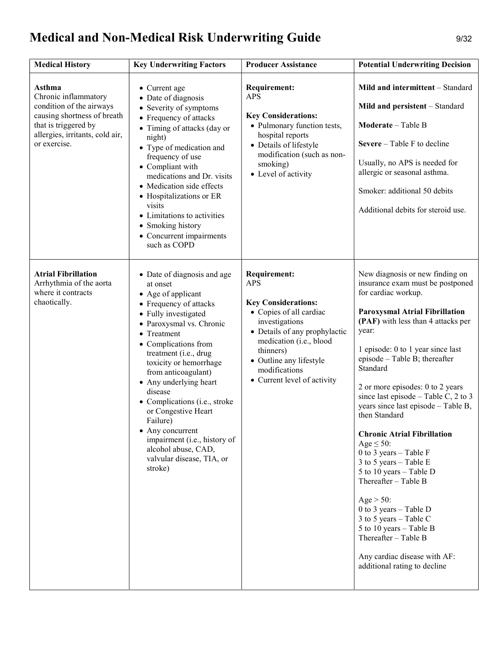# Medical and Non-Medical Risk Underwriting Guide 9/32

| <b>Medical History</b>                                                                                                                                               | <b>Key Underwriting Factors</b>                                                                                                                                                                                                                                                                                                                                                                                                                                                          | <b>Producer Assistance</b>                                                                                                                                                                                                                                       | <b>Potential Underwriting Decision</b>                                                                                                                                                                                                                                                                                                                                                                                                                                                                                                                                                                                                                                                                                                                              |
|----------------------------------------------------------------------------------------------------------------------------------------------------------------------|------------------------------------------------------------------------------------------------------------------------------------------------------------------------------------------------------------------------------------------------------------------------------------------------------------------------------------------------------------------------------------------------------------------------------------------------------------------------------------------|------------------------------------------------------------------------------------------------------------------------------------------------------------------------------------------------------------------------------------------------------------------|---------------------------------------------------------------------------------------------------------------------------------------------------------------------------------------------------------------------------------------------------------------------------------------------------------------------------------------------------------------------------------------------------------------------------------------------------------------------------------------------------------------------------------------------------------------------------------------------------------------------------------------------------------------------------------------------------------------------------------------------------------------------|
| Asthma<br>Chronic inflammatory<br>condition of the airways<br>causing shortness of breath<br>that is triggered by<br>allergies, irritants, cold air,<br>or exercise. | • Current age<br>• Date of diagnosis<br>• Severity of symptoms<br>• Frequency of attacks<br>• Timing of attacks (day or<br>night)<br>• Type of medication and<br>frequency of use<br>• Compliant with<br>medications and Dr. visits<br>• Medication side effects<br>• Hospitalizations or ER<br>visits<br>• Limitations to activities<br>• Smoking history<br>• Concurrent impairments<br>such as COPD                                                                                   | <b>Requirement:</b><br><b>APS</b><br><b>Key Considerations:</b><br>• Pulmonary function tests,<br>hospital reports<br>• Details of lifestyle<br>modification (such as non-<br>smoking)<br>• Level of activity                                                    | Mild and intermittent - Standard<br>Mild and persistent - Standard<br><b>Moderate</b> – Table B<br>Severe $-$ Table F to decline<br>Usually, no APS is needed for<br>allergic or seasonal asthma.<br>Smoker: additional 50 debits<br>Additional debits for steroid use.                                                                                                                                                                                                                                                                                                                                                                                                                                                                                             |
| <b>Atrial Fibrillation</b><br>Arrhythmia of the aorta<br>where it contracts<br>chaotically.                                                                          | • Date of diagnosis and age<br>at onset<br>• Age of applicant<br>• Frequency of attacks<br>• Fully investigated<br>· Paroxysmal vs. Chronic<br>• Treatment<br>• Complications from<br>treatment (i.e., drug<br>toxicity or hemorrhage<br>from anticoagulant)<br>• Any underlying heart<br>disease<br>• Complications (i.e., stroke<br>or Congestive Heart<br>Failure)<br>• Any concurrent<br>impairment (i.e., history of<br>alcohol abuse, CAD,<br>valvular disease, TIA, or<br>stroke) | <b>Requirement:</b><br><b>APS</b><br><b>Key Considerations:</b><br>• Copies of all cardiac<br>investigations<br>• Details of any prophylactic<br>medication (i.e., blood<br>thinners)<br>• Outline any lifestyle<br>modifications<br>• Current level of activity | New diagnosis or new finding on<br>insurance exam must be postponed<br>for cardiac workup.<br><b>Paroxysmal Atrial Fibrillation</b><br>(PAF) with less than 4 attacks per<br>year:<br>1 episode: 0 to 1 year since last<br>episode - Table B; thereafter<br>Standard<br>2 or more episodes: 0 to 2 years<br>since last episode – Table C, 2 to 3<br>years since last episode - Table B,<br>then Standard<br><b>Chronic Atrial Fibrillation</b><br>Age $\leq$ 50:<br>0 to 3 years $-$ Table F<br>3 to 5 years $-$ Table E<br>5 to 10 years – Table D<br>Thereafter - Table B<br>Age $>$ 50:<br>0 to 3 years $-$ Table D<br>3 to 5 years – Table C<br>5 to 10 years – Table B<br>Thereafter - Table B<br>Any cardiac disease with AF:<br>additional rating to decline |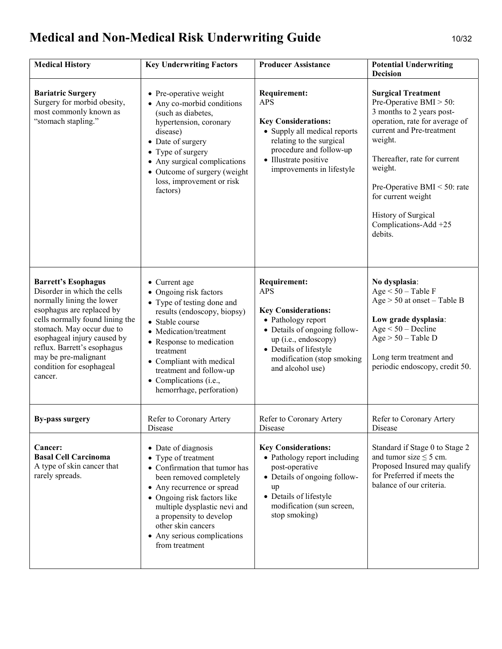# Medical and Non-Medical Risk Underwriting Guide 10/32

| <b>Medical History</b>                                                                                                                                                                                                                                                                                           | <b>Key Underwriting Factors</b>                                                                                                                                                                                                                                                                         | <b>Producer Assistance</b>                                                                                                                                                                                                | <b>Potential Underwriting</b><br><b>Decision</b>                                                                                                                                                                                                                                                                            |
|------------------------------------------------------------------------------------------------------------------------------------------------------------------------------------------------------------------------------------------------------------------------------------------------------------------|---------------------------------------------------------------------------------------------------------------------------------------------------------------------------------------------------------------------------------------------------------------------------------------------------------|---------------------------------------------------------------------------------------------------------------------------------------------------------------------------------------------------------------------------|-----------------------------------------------------------------------------------------------------------------------------------------------------------------------------------------------------------------------------------------------------------------------------------------------------------------------------|
| <b>Bariatric Surgery</b><br>Surgery for morbid obesity,<br>most commonly known as<br>"stomach stapling."                                                                                                                                                                                                         | • Pre-operative weight<br>• Any co-morbid conditions<br>(such as diabetes,<br>hypertension, coronary<br>disease)<br>• Date of surgery<br>• Type of surgery<br>• Any surgical complications<br>• Outcome of surgery (weight<br>loss, improvement or risk<br>factors)                                     | <b>Requirement:</b><br><b>APS</b><br><b>Key Considerations:</b><br>• Supply all medical reports<br>relating to the surgical<br>procedure and follow-up<br>• Illustrate positive<br>improvements in lifestyle              | <b>Surgical Treatment</b><br>Pre-Operative BMI $>$ 50:<br>3 months to 2 years post-<br>operation, rate for average of<br>current and Pre-treatment<br>weight.<br>Thereafter, rate for current<br>weight.<br>Pre-Operative BMI $<$ 50: rate<br>for current weight<br>History of Surgical<br>Complications-Add +25<br>debits. |
| <b>Barrett's Esophagus</b><br>Disorder in which the cells<br>normally lining the lower<br>esophagus are replaced by<br>cells normally found lining the<br>stomach. May occur due to<br>esophageal injury caused by<br>reflux. Barrett's esophagus<br>may be pre-malignant<br>condition for esophageal<br>cancer. | • Current age<br>• Ongoing risk factors<br>• Type of testing done and<br>results (endoscopy, biopsy)<br>• Stable course<br>• Medication/treatment<br>• Response to medication<br>treatment<br>• Compliant with medical<br>treatment and follow-up<br>• Complications (i.e.,<br>hemorrhage, perforation) | <b>Requirement:</b><br><b>APS</b><br><b>Key Considerations:</b><br>• Pathology report<br>• Details of ongoing follow-<br>up (i.e., endoscopy)<br>• Details of lifestyle<br>modification (stop smoking<br>and alcohol use) | No dysplasia:<br>$Age < 50 - Table F$<br>$Age > 50$ at onset - Table B<br>Low grade dysplasia:<br>$Age < 50 - Decline$<br>$Age > 50 - Table D$<br>Long term treatment and<br>periodic endoscopy, credit 50.                                                                                                                 |
| <b>By-pass surgery</b>                                                                                                                                                                                                                                                                                           | Refer to Coronary Artery<br>Disease                                                                                                                                                                                                                                                                     | Refer to Coronary Artery<br>Disease                                                                                                                                                                                       | Refer to Coronary Artery<br>Disease                                                                                                                                                                                                                                                                                         |
| <b>Cancer:</b><br><b>Basal Cell Carcinoma</b><br>A type of skin cancer that<br>rarely spreads.                                                                                                                                                                                                                   | • Date of diagnosis<br>• Type of treatment<br>• Confirmation that tumor has<br>been removed completely<br>• Any recurrence or spread<br>• Ongoing risk factors like<br>multiple dysplastic nevi and<br>a propensity to develop<br>other skin cancers<br>• Any serious complications<br>from treatment   | <b>Key Considerations:</b><br>• Pathology report including<br>post-operative<br>• Details of ongoing follow-<br>up<br>• Details of lifestyle<br>modification (sun screen,<br>stop smoking)                                | Standard if Stage 0 to Stage 2<br>and tumor size $\leq$ 5 cm.<br>Proposed Insured may qualify<br>for Preferred if meets the<br>balance of our criteria.                                                                                                                                                                     |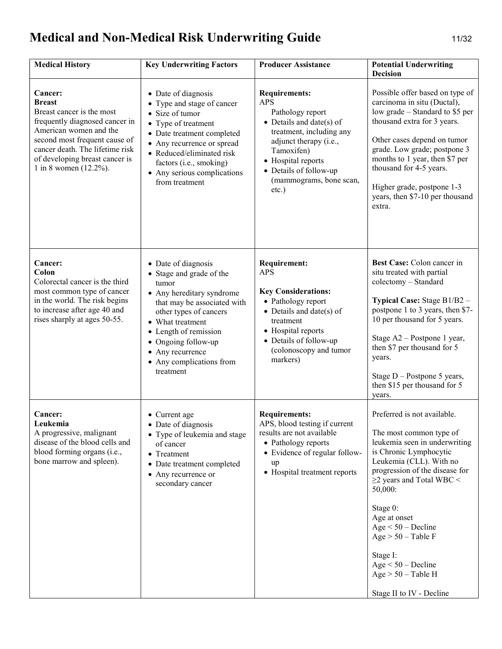# Medical and Non-Medical Risk Underwriting Guide 11/32

| <b>Medical History</b>                                                                                                                                                                                                                               | <b>Key Underwriting Factors</b>                                                                                                                                                                                                                                                 | <b>Producer Assistance</b>                                                                                                                                                                                                                    | <b>Potential Underwriting</b><br>Decision                                                                                                                                                                                                                                                                                                                                                       |
|------------------------------------------------------------------------------------------------------------------------------------------------------------------------------------------------------------------------------------------------------|---------------------------------------------------------------------------------------------------------------------------------------------------------------------------------------------------------------------------------------------------------------------------------|-----------------------------------------------------------------------------------------------------------------------------------------------------------------------------------------------------------------------------------------------|-------------------------------------------------------------------------------------------------------------------------------------------------------------------------------------------------------------------------------------------------------------------------------------------------------------------------------------------------------------------------------------------------|
| Cancer:<br><b>Breast</b><br>Breast cancer is the most<br>frequently diagnosed cancer in<br>American women and the<br>second most frequent cause of<br>cancer death. The lifetime risk<br>of developing breast cancer is<br>1 in 8 women $(12.2\%)$ . | • Date of diagnosis<br>• Type and stage of cancer<br>• Size of tumor<br>• Type of treatment<br>• Date treatment completed<br>• Any recurrence or spread<br>• Reduced/eliminated risk<br>factors (i.e., smoking)<br>• Any serious complications<br>from treatment                | <b>Requirements:</b><br><b>APS</b><br>Pathology report<br>• Details and date(s) of<br>treatment, including any<br>adjunct therapy (i.e.,<br>Tamoxifen)<br>• Hospital reports<br>• Details of follow-up<br>(mammograms, bone scan,<br>$etc.$ ) | Possible offer based on type of<br>carcinoma in situ (Ductal),<br>low grade – Standard to \$5 per<br>thousand extra for 3 years.<br>Other cases depend on tumor<br>grade. Low grade; postpone 3<br>months to 1 year, then \$7 per<br>thousand for 4-5 years.<br>Higher grade, postpone 1-3<br>years, then \$7-10 per thousand<br>extra.                                                         |
| Cancer:<br>Colon<br>Colorectal cancer is the third<br>most common type of cancer<br>in the world. The risk begins<br>to increase after age 40 and<br>rises sharply at ages 50-55.                                                                    | • Date of diagnosis<br>• Stage and grade of the<br>tumor<br>• Any hereditary syndrome<br>that may be associated with<br>other types of cancers<br>• What treatment<br>• Length of remission<br>• Ongoing follow-up<br>• Any recurrence<br>• Any complications from<br>treatment | <b>Requirement:</b><br><b>APS</b><br><b>Key Considerations:</b><br>• Pathology report<br>• Details and date(s) of<br>treatment<br>• Hospital reports<br>• Details of follow-up<br>(colonoscopy and tumor<br>markers)                          | Best Case: Colon cancer in<br>situ treated with partial<br>colectomy - Standard<br>Typical Case: Stage B1/B2 -<br>postpone 1 to 3 years, then \$7-<br>10 per thousand for 5 years.<br>Stage A2 - Postpone 1 year,<br>then \$7 per thousand for 5<br>years.<br>Stage $D -$ Postpone 5 years,<br>then \$15 per thousand for 5<br>years.                                                           |
| <b>Cancer:</b><br>Leukemia<br>A progressive, malignant<br>disease of the blood cells and<br>blood forming organs (i.e.,<br>bone marrow and spleen).                                                                                                  | • Current age<br>• Date of diagnosis<br>• Type of leukemia and stage<br>of cancer<br>• Treatment<br>• Date treatment completed<br>• Any recurrence or<br>secondary cancer                                                                                                       | <b>Requirements:</b><br>APS, blood testing if current<br>results are not available<br>• Pathology reports<br>• Evidence of regular follow-<br>up<br>• Hospital treatment reports                                                              | Preferred is not available.<br>The most common type of<br>leukemia seen in underwriting<br>is Chronic Lymphocytic<br>Leukemia (CLL). With no<br>progression of the disease for<br>$\geq$ 2 years and Total WBC <<br>50,000:<br>Stage 0:<br>Age at onset<br>$Age < 50 - Decline$<br>$Age > 50 - Table F$<br>Stage I:<br>$Age < 50 - Decline$<br>$Age > 50 - Table H$<br>Stage II to IV - Decline |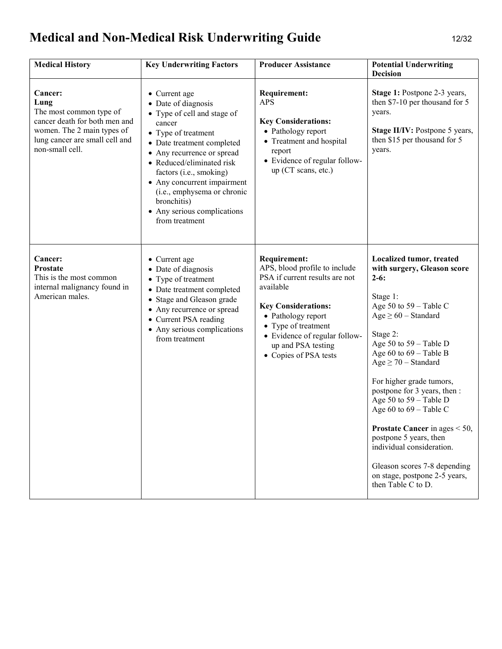# Medical and Non-Medical Risk Underwriting Guide 12/32

| <b>Medical History</b>                                                                                                                                                | <b>Key Underwriting Factors</b>                                                                                                                                                                                                                                                                                                                        | <b>Producer Assistance</b>                                                                                                                                                                                                                                     | <b>Potential Underwriting</b><br><b>Decision</b>                                                                                                                                                                                                                                                                                                                                                                                                                                                                                                   |
|-----------------------------------------------------------------------------------------------------------------------------------------------------------------------|--------------------------------------------------------------------------------------------------------------------------------------------------------------------------------------------------------------------------------------------------------------------------------------------------------------------------------------------------------|----------------------------------------------------------------------------------------------------------------------------------------------------------------------------------------------------------------------------------------------------------------|----------------------------------------------------------------------------------------------------------------------------------------------------------------------------------------------------------------------------------------------------------------------------------------------------------------------------------------------------------------------------------------------------------------------------------------------------------------------------------------------------------------------------------------------------|
| <b>Cancer:</b><br>Lung<br>The most common type of<br>cancer death for both men and<br>women. The 2 main types of<br>lung cancer are small cell and<br>non-small cell. | • Current age<br>• Date of diagnosis<br>• Type of cell and stage of<br>cancer<br>• Type of treatment<br>• Date treatment completed<br>• Any recurrence or spread<br>• Reduced/eliminated risk<br>factors (i.e., smoking)<br>• Any concurrent impairment<br>(i.e., emphysema or chronic<br>bronchitis)<br>• Any serious complications<br>from treatment | <b>Requirement:</b><br><b>APS</b><br><b>Key Considerations:</b><br>• Pathology report<br>• Treatment and hospital<br>report<br>• Evidence of regular follow-<br>up (CT scans, etc.)                                                                            | Stage 1: Postpone 2-3 years,<br>then \$7-10 per thousand for 5<br>years.<br>Stage II/IV: Postpone 5 years,<br>then \$15 per thousand for 5<br>years.                                                                                                                                                                                                                                                                                                                                                                                               |
| Cancer:<br><b>Prostate</b><br>This is the most common<br>internal malignancy found in<br>American males.                                                              | • Current age<br>• Date of diagnosis<br>• Type of treatment<br>• Date treatment completed<br>• Stage and Gleason grade<br>• Any recurrence or spread<br>• Current PSA reading<br>• Any serious complications<br>from treatment                                                                                                                         | <b>Requirement:</b><br>APS, blood profile to include<br>PSA if current results are not<br>available<br><b>Key Considerations:</b><br>• Pathology report<br>• Type of treatment<br>• Evidence of regular follow-<br>up and PSA testing<br>• Copies of PSA tests | Localized tumor, treated<br>with surgery, Gleason score<br>$2-6:$<br>Stage 1:<br>Age 50 to $59 - Table C$<br>$Age \geq 60$ – Standard<br>Stage 2:<br>Age 50 to $59 - Table D$<br>Age 60 to $69 - Table B$<br>$Age \geq 70$ – Standard<br>For higher grade tumors,<br>postpone for 3 years, then :<br>Age 50 to $59 - Table D$<br>Age 60 to $69 - Table C$<br><b>Prostate Cancer</b> in ages $< 50$ ,<br>postpone 5 years, then<br>individual consideration.<br>Gleason scores 7-8 depending<br>on stage, postpone 2-5 years,<br>then Table C to D. |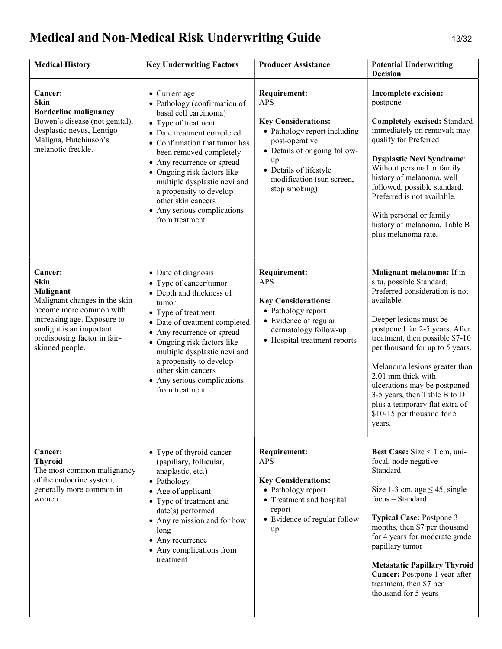# Medical and Non-Medical Risk Underwriting Guide 13/32

| <b>Medical History</b>                                                                                                                                                                                 | <b>Key Underwriting Factors</b>                                                                                                                                                                                                                                                                                                                                                        | <b>Producer Assistance</b>                                                                                                                                                                                                      | <b>Potential Underwriting</b><br><b>Decision</b>                                                                                                                                                                                                                                                                                                                                                                                          |
|--------------------------------------------------------------------------------------------------------------------------------------------------------------------------------------------------------|----------------------------------------------------------------------------------------------------------------------------------------------------------------------------------------------------------------------------------------------------------------------------------------------------------------------------------------------------------------------------------------|---------------------------------------------------------------------------------------------------------------------------------------------------------------------------------------------------------------------------------|-------------------------------------------------------------------------------------------------------------------------------------------------------------------------------------------------------------------------------------------------------------------------------------------------------------------------------------------------------------------------------------------------------------------------------------------|
| Cancer:<br>Skin<br><b>Borderline malignancy</b><br>Bowen's disease (not genital),<br>dysplastic nevus, Lentigo<br>Maligna, Hutchinson's<br>melanotic freckle.                                          | • Current age<br>• Pathology (confirmation of<br>basal cell carcinoma)<br>• Type of treatment<br>• Date treatment completed<br>• Confirmation that tumor has<br>been removed completely<br>• Any recurrence or spread<br>• Ongoing risk factors like<br>multiple dysplastic nevi and<br>a propensity to develop<br>other skin cancers<br>• Any serious complications<br>from treatment | <b>Requirement:</b><br><b>APS</b><br><b>Key Considerations:</b><br>• Pathology report including<br>post-operative<br>• Details of ongoing follow-<br>up<br>• Details of lifestyle<br>modification (sun screen,<br>stop smoking) | Incomplete excision:<br>postpone<br><b>Completely excised: Standard</b><br>immediately on removal; may<br>qualify for Preferred<br><b>Dysplastic Nevi Syndrome:</b><br>Without personal or family<br>history of melanoma, well<br>followed, possible standard.<br>Preferred is not available.<br>With personal or family<br>history of melanoma, Table B<br>plus melanoma rate.                                                           |
| Cancer:<br>Skin<br>Malignant<br>Malignant changes in the skin<br>become more common with<br>increasing age. Exposure to<br>sunlight is an important<br>predisposing factor in fair-<br>skinned people. | • Date of diagnosis<br>• Type of cancer/tumor<br>• Depth and thickness of<br>tumor<br>• Type of treatment<br>• Date of treatment completed<br>• Any recurrence or spread<br>• Ongoing risk factors like<br>multiple dysplastic nevi and<br>a propensity to develop<br>other skin cancers<br>• Any serious complications<br>from treatment                                              | <b>Requirement:</b><br><b>APS</b><br><b>Key Considerations:</b><br>• Pathology report<br>• Evidence of regular<br>dermatology follow-up<br>• Hospital treatment reports                                                         | Malignant melanoma: If in-<br>situ, possible Standard;<br>Preferred consideration is not<br>available.<br>Deeper lesions must be<br>postponed for 2-5 years. After<br>treatment, then possible \$7-10<br>per thousand for up to 5 years.<br>Melanoma lesions greater than<br>2.01 mm thick with<br>ulcerations may be postponed<br>3-5 years, then Table B to D<br>plus a temporary flat extra of<br>\$10-15 per thousand for 5<br>years. |
| Cancer:<br><b>Thyroid</b><br>The most common malignancy<br>of the endocrine system,<br>generally more common in<br>women.                                                                              | • Type of thyroid cancer<br>(papillary, follicular,<br>anaplastic, etc.)<br>• Pathology<br>• Age of applicant<br>• Type of treatment and<br>date(s) performed<br>• Any remission and for how<br>long<br>• Any recurrence<br>• Any complications from<br>treatment                                                                                                                      | <b>Requirement:</b><br><b>APS</b><br><b>Key Considerations:</b><br>• Pathology report<br>• Treatment and hospital<br>report<br>• Evidence of regular follow-<br>up                                                              | <b>Best Case:</b> Size $\leq$ 1 cm, uni-<br>focal, node negative -<br>Standard<br>Size 1-3 cm, age $\leq$ 45, single<br>focus - Standard<br><b>Typical Case: Postpone 3</b><br>months, then \$7 per thousand<br>for 4 years for moderate grade<br>papillary tumor<br><b>Metastatic Papillary Thyroid</b><br>Cancer: Postpone 1 year after<br>treatment, then \$7 per<br>thousand for 5 years                                              |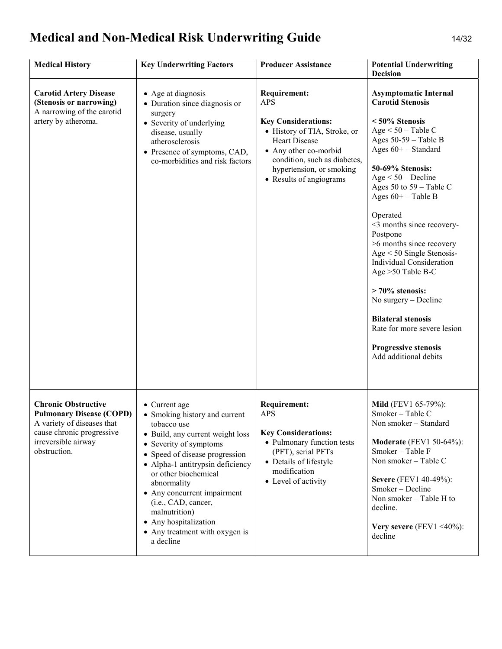# Medical and Non-Medical Risk Underwriting Guide 14/32

| <b>Medical History</b>                                                                                                                                          | <b>Key Underwriting Factors</b>                                                                                                                                                                                                                                                                                                                                                         | <b>Producer Assistance</b>                                                                                                                                                                                                            | <b>Potential Underwriting</b><br><b>Decision</b>                                                                                                                                                                                                                                                                                                                                                                                                                                                                                                                                                |
|-----------------------------------------------------------------------------------------------------------------------------------------------------------------|-----------------------------------------------------------------------------------------------------------------------------------------------------------------------------------------------------------------------------------------------------------------------------------------------------------------------------------------------------------------------------------------|---------------------------------------------------------------------------------------------------------------------------------------------------------------------------------------------------------------------------------------|-------------------------------------------------------------------------------------------------------------------------------------------------------------------------------------------------------------------------------------------------------------------------------------------------------------------------------------------------------------------------------------------------------------------------------------------------------------------------------------------------------------------------------------------------------------------------------------------------|
| <b>Carotid Artery Disease</b><br>(Stenosis or narrowing)<br>A narrowing of the carotid<br>artery by atheroma.                                                   | • Age at diagnosis<br>• Duration since diagnosis or<br>surgery<br>• Severity of underlying<br>disease, usually<br>atherosclerosis<br>• Presence of symptoms, CAD,<br>co-morbidities and risk factors                                                                                                                                                                                    | <b>Requirement:</b><br><b>APS</b><br><b>Key Considerations:</b><br>• History of TIA, Stroke, or<br><b>Heart Disease</b><br>Any other co-morbid<br>condition, such as diabetes,<br>hypertension, or smoking<br>• Results of angiograms | <b>Asymptomatic Internal</b><br><b>Carotid Stenosis</b><br><50% Stenosis<br>$Age < 50 - Table C$<br>Ages $50-59$ – Table B<br>Ages $60$ + – Standard<br>50-69% Stenosis:<br>$Age < 50 - Decline$<br>Ages 50 to $59$ – Table C<br>Ages $60+$ – Table B<br>Operated<br><3 months since recovery-<br>Postpone<br>>6 months since recovery<br>$Age < 50$ Single Stenosis-<br><b>Individual Consideration</b><br>Age >50 Table B-C<br>$> 70\%$ stenosis:<br>No surgery – Decline<br><b>Bilateral stenosis</b><br>Rate for more severe lesion<br><b>Progressive stenosis</b><br>Add additional debits |
| <b>Chronic Obstructive</b><br><b>Pulmonary Disease (COPD)</b><br>A variety of diseases that<br>cause chronic progressive<br>irreversible airway<br>obstruction. | • Current age<br>• Smoking history and current<br>tobacco use<br>• Build, any current weight loss<br>• Severity of symptoms<br>• Speed of disease progression<br>• Alpha-1 antitrypsin deficiency<br>or other biochemical<br>abnormality<br>• Any concurrent impairment<br>(i.e., CAD, cancer,<br>malnutrition)<br>• Any hospitalization<br>• Any treatment with oxygen is<br>a decline | <b>Requirement:</b><br><b>APS</b><br><b>Key Considerations:</b><br>• Pulmonary function tests<br>(PFT), serial PFTs<br>• Details of lifestyle<br>modification<br>• Level of activity                                                  | <b>Mild</b> (FEV1 65-79%):<br>Smoker - Table C<br>Non smoker – Standard<br><b>Moderate</b> (FEV1 50-64%):<br>Smoker - Table F<br>Non smoker - Table C<br><b>Severe</b> (FEV1 40-49%):<br>Smoker - Decline<br>Non smoker – Table H to<br>decline.<br>Very severe (FEV1 <40%):<br>decline                                                                                                                                                                                                                                                                                                         |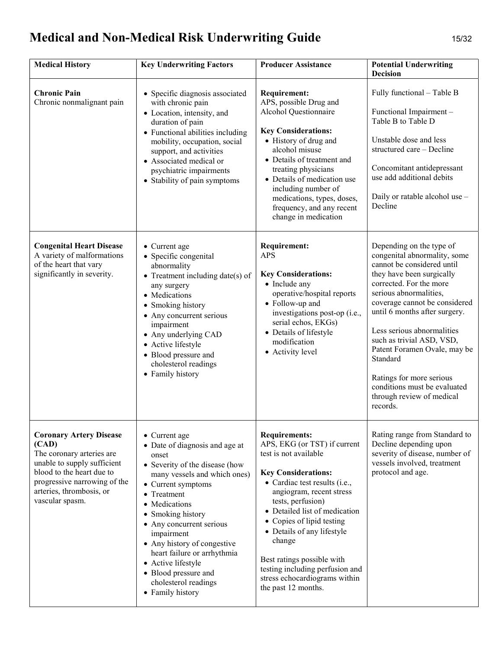# Medical and Non-Medical Risk Underwriting Guide 15/32

| <b>Medical History</b>                                                                                                                                                                                          | <b>Key Underwriting Factors</b>                                                                                                                                                                                                                                                                                                                                                                       | <b>Producer Assistance</b>                                                                                                                                                                                                                                                                                                                                                                                                   | <b>Potential Underwriting</b><br><b>Decision</b>                                                                                                                                                                                                                                                                                                                                                                                                       |
|-----------------------------------------------------------------------------------------------------------------------------------------------------------------------------------------------------------------|-------------------------------------------------------------------------------------------------------------------------------------------------------------------------------------------------------------------------------------------------------------------------------------------------------------------------------------------------------------------------------------------------------|------------------------------------------------------------------------------------------------------------------------------------------------------------------------------------------------------------------------------------------------------------------------------------------------------------------------------------------------------------------------------------------------------------------------------|--------------------------------------------------------------------------------------------------------------------------------------------------------------------------------------------------------------------------------------------------------------------------------------------------------------------------------------------------------------------------------------------------------------------------------------------------------|
| <b>Chronic Pain</b><br>Chronic nonmalignant pain                                                                                                                                                                | • Specific diagnosis associated<br>with chronic pain<br>• Location, intensity, and<br>duration of pain<br>• Functional abilities including<br>mobility, occupation, social<br>support, and activities<br>• Associated medical or<br>psychiatric impairments<br>• Stability of pain symptoms                                                                                                           | <b>Requirement:</b><br>APS, possible Drug and<br>Alcohol Questionnaire<br><b>Key Considerations:</b><br>• History of drug and<br>alcohol misuse<br>• Details of treatment and<br>treating physicians<br>• Details of medication use<br>including number of<br>medications, types, doses,<br>frequency, and any recent<br>change in medication                                                                                | Fully functional - Table B<br>Functional Impairment -<br>Table B to Table D<br>Unstable dose and less<br>structured care - Decline<br>Concomitant antidepressant<br>use add additional debits<br>Daily or ratable alcohol use -<br>Decline                                                                                                                                                                                                             |
| <b>Congenital Heart Disease</b><br>A variety of malformations<br>of the heart that vary<br>significantly in severity.                                                                                           | • Current age<br>• Specific congenital<br>abnormality<br>$\bullet$ Treatment including date(s) of<br>any surgery<br>• Medications<br>• Smoking history<br>• Any concurrent serious<br>impairment<br>• Any underlying CAD<br>• Active lifestyle<br>• Blood pressure and<br>cholesterol readings<br>• Family history                                                                                    | <b>Requirement:</b><br><b>APS</b><br><b>Key Considerations:</b><br>• Include any<br>operative/hospital reports<br>• Follow-up and<br>investigations post-op (i.e.,<br>serial echos, EKGs)<br>• Details of lifestyle<br>modification<br>• Activity level                                                                                                                                                                      | Depending on the type of<br>congenital abnormality, some<br>cannot be considered until<br>they have been surgically<br>corrected. For the more<br>serious abnormalities,<br>coverage cannot be considered<br>until 6 months after surgery.<br>Less serious abnormalities<br>such as trivial ASD, VSD,<br>Patent Foramen Ovale, may be<br>Standard<br>Ratings for more serious<br>conditions must be evaluated<br>through review of medical<br>records. |
| <b>Coronary Artery Disease</b><br>(CAD)<br>The coronary arteries are<br>unable to supply sufficient<br>blood to the heart due to<br>progressive narrowing of the<br>arteries, thrombosis, or<br>vascular spasm. | • Current age<br>• Date of diagnosis and age at<br>onset<br>• Severity of the disease (how<br>many vessels and which ones)<br>• Current symptoms<br>• Treatment<br>Medications<br>• Smoking history<br>• Any concurrent serious<br>impairment<br>• Any history of congestive<br>heart failure or arrhythmia<br>• Active lifestyle<br>• Blood pressure and<br>cholesterol readings<br>• Family history | <b>Requirements:</b><br>APS, EKG (or TST) if current<br>test is not available<br><b>Key Considerations:</b><br>• Cardiac test results (i.e.,<br>angiogram, recent stress<br>tests, perfusion)<br>• Detailed list of medication<br>• Copies of lipid testing<br>• Details of any lifestyle<br>change<br>Best ratings possible with<br>testing including perfusion and<br>stress echocardiograms within<br>the past 12 months. | Rating range from Standard to<br>Decline depending upon<br>severity of disease, number of<br>vessels involved, treatment<br>protocol and age.                                                                                                                                                                                                                                                                                                          |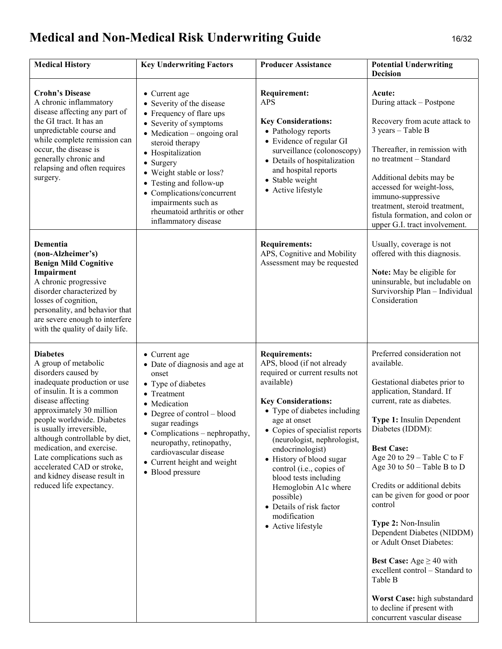# Medical and Non-Medical Risk Underwriting Guide 16/32

| <b>Medical History</b>                                                                                                                                                                                                                                                                                                                                                                                                         | <b>Key Underwriting Factors</b>                                                                                                                                                                                                                                                                                                                                   | <b>Producer Assistance</b>                                                                                                                                                                                                                                                                                                                                                                                                                                     | <b>Potential Underwriting</b><br><b>Decision</b>                                                                                                                                                                                                                                                                                                                                                                                                                                                                                                                                                                              |
|--------------------------------------------------------------------------------------------------------------------------------------------------------------------------------------------------------------------------------------------------------------------------------------------------------------------------------------------------------------------------------------------------------------------------------|-------------------------------------------------------------------------------------------------------------------------------------------------------------------------------------------------------------------------------------------------------------------------------------------------------------------------------------------------------------------|----------------------------------------------------------------------------------------------------------------------------------------------------------------------------------------------------------------------------------------------------------------------------------------------------------------------------------------------------------------------------------------------------------------------------------------------------------------|-------------------------------------------------------------------------------------------------------------------------------------------------------------------------------------------------------------------------------------------------------------------------------------------------------------------------------------------------------------------------------------------------------------------------------------------------------------------------------------------------------------------------------------------------------------------------------------------------------------------------------|
| <b>Crohn's Disease</b><br>A chronic inflammatory<br>disease affecting any part of<br>the GI tract. It has an<br>unpredictable course and<br>while complete remission can<br>occur, the disease is<br>generally chronic and<br>relapsing and often requires<br>surgery.                                                                                                                                                         | • Current age<br>• Severity of the disease<br>• Frequency of flare ups<br>• Severity of symptoms<br>$\bullet$ Medication – ongoing oral<br>steroid therapy<br>• Hospitalization<br>• Surgery<br>• Weight stable or loss?<br>• Testing and follow-up<br>• Complications/concurrent<br>impairments such as<br>rheumatoid arthritis or other<br>inflammatory disease | <b>Requirement:</b><br><b>APS</b><br><b>Key Considerations:</b><br>• Pathology reports<br>• Evidence of regular GI<br>surveillance (colonoscopy)<br>• Details of hospitalization<br>and hospital reports<br>• Stable weight<br>• Active lifestyle                                                                                                                                                                                                              | Acute:<br>During attack – Postpone<br>Recovery from acute attack to<br>$3 \text{ years} - \text{Table B}$<br>Thereafter, in remission with<br>no treatment - Standard<br>Additional debits may be<br>accessed for weight-loss,<br>immuno-suppressive<br>treatment, steroid treatment,<br>fistula formation, and colon or<br>upper G.I. tract involvement.                                                                                                                                                                                                                                                                     |
| Dementia<br>(non-Alzheimer's)<br><b>Benign Mild Cognitive</b><br>Impairment<br>A chronic progressive<br>disorder characterized by<br>losses of cognition,<br>personality, and behavior that<br>are severe enough to interfere<br>with the quality of daily life.                                                                                                                                                               |                                                                                                                                                                                                                                                                                                                                                                   | <b>Requirements:</b><br>APS, Cognitive and Mobility<br>Assessment may be requested                                                                                                                                                                                                                                                                                                                                                                             | Usually, coverage is not<br>offered with this diagnosis.<br>Note: May be eligible for<br>uninsurable, but includable on<br>Survivorship Plan - Individual<br>Consideration                                                                                                                                                                                                                                                                                                                                                                                                                                                    |
| <b>Diabetes</b><br>A group of metabolic<br>disorders caused by<br>inadequate production or use<br>of insulin. It is a common<br>disease affecting<br>approximately 30 million<br>people worldwide. Diabetes<br>is usually irreversible,<br>although controllable by diet,<br>medication, and exercise.<br>Late complications such as<br>accelerated CAD or stroke,<br>and kidney disease result in<br>reduced life expectancy. | • Current age<br>• Date of diagnosis and age at<br>onset<br>• Type of diabetes<br>• Treatment<br>• Medication<br>$\bullet$ Degree of control – blood<br>sugar readings<br>• Complications – nephropathy,<br>neuropathy, retinopathy,<br>cardiovascular disease<br>• Current height and weight<br>• Blood pressure                                                 | <b>Requirements:</b><br>APS, blood (if not already<br>required or current results not<br>available)<br><b>Key Considerations:</b><br>• Type of diabetes including<br>age at onset<br>• Copies of specialist reports<br>(neurologist, nephrologist,<br>endocrinologist)<br>• History of blood sugar<br>control (i.e., copies of<br>blood tests including<br>Hemoglobin A1c where<br>possible)<br>• Details of risk factor<br>modification<br>• Active lifestyle | Preferred consideration not<br>available.<br>Gestational diabetes prior to<br>application, Standard. If<br>current, rate as diabetes.<br>Type 1: Insulin Dependent<br>Diabetes (IDDM):<br><b>Best Case:</b><br>Age 20 to $29 - Table C$ to F<br>Age 30 to $50 -$ Table B to D<br>Credits or additional debits<br>can be given for good or poor<br>control<br>Type 2: Non-Insulin<br>Dependent Diabetes (NIDDM)<br>or Adult Onset Diabetes:<br><b>Best Case:</b> Age $\geq$ 40 with<br>excellent control – Standard to<br>Table B<br>Worst Case: high substandard<br>to decline if present with<br>concurrent vascular disease |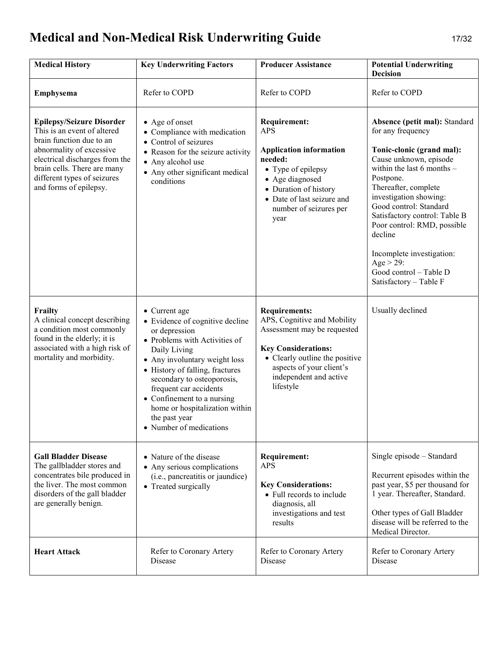# Medical and Non-Medical Risk Underwriting Guide 17/32

| <b>Medical History</b>                                                                                                                                                                                                                            | <b>Key Underwriting Factors</b>                                                                                                                                                                                                                                                                                                                                    | <b>Producer Assistance</b>                                                                                                                                                                                            | <b>Potential Underwriting</b><br><b>Decision</b>                                                                                                                                                                                                                                                                                                                                                                 |
|---------------------------------------------------------------------------------------------------------------------------------------------------------------------------------------------------------------------------------------------------|--------------------------------------------------------------------------------------------------------------------------------------------------------------------------------------------------------------------------------------------------------------------------------------------------------------------------------------------------------------------|-----------------------------------------------------------------------------------------------------------------------------------------------------------------------------------------------------------------------|------------------------------------------------------------------------------------------------------------------------------------------------------------------------------------------------------------------------------------------------------------------------------------------------------------------------------------------------------------------------------------------------------------------|
| <b>Emphysema</b>                                                                                                                                                                                                                                  | Refer to COPD                                                                                                                                                                                                                                                                                                                                                      | Refer to COPD                                                                                                                                                                                                         | Refer to COPD                                                                                                                                                                                                                                                                                                                                                                                                    |
| <b>Epilepsy/Seizure Disorder</b><br>This is an event of altered<br>brain function due to an<br>abnormality of excessive<br>electrical discharges from the<br>brain cells. There are many<br>different types of seizures<br>and forms of epilepsy. | • Age of onset<br>• Compliance with medication<br>• Control of seizures<br>• Reason for the seizure activity<br>• Any alcohol use<br>• Any other significant medical<br>conditions                                                                                                                                                                                 | <b>Requirement:</b><br><b>APS</b><br><b>Application information</b><br>needed:<br>• Type of epilepsy<br>• Age diagnosed<br>• Duration of history<br>• Date of last seizure and<br>number of seizures per<br>year      | Absence (petit mal): Standard<br>for any frequency<br>Tonic-clonic (grand mal):<br>Cause unknown, episode<br>within the last $6$ months $-$<br>Postpone.<br>Thereafter, complete<br>investigation showing:<br>Good control: Standard<br>Satisfactory control: Table B<br>Poor control: RMD, possible<br>decline<br>Incomplete investigation:<br>$Age > 29$ :<br>Good control - Table D<br>Satisfactory - Table F |
| Frailty<br>A clinical concept describing<br>a condition most commonly<br>found in the elderly; it is<br>associated with a high risk of<br>mortality and morbidity.                                                                                | • Current age<br>• Evidence of cognitive decline<br>or depression<br>• Problems with Activities of<br>Daily Living<br>• Any involuntary weight loss<br>• History of falling, fractures<br>secondary to osteoporosis,<br>frequent car accidents<br>$\bullet$ Confinement to a nursing<br>home or hospitalization within<br>the past year<br>• Number of medications | <b>Requirements:</b><br>APS, Cognitive and Mobility<br>Assessment may be requested<br><b>Key Considerations:</b><br>• Clearly outline the positive<br>aspects of your client's<br>independent and active<br>lifestyle | Usually declined                                                                                                                                                                                                                                                                                                                                                                                                 |
| <b>Gall Bladder Disease</b><br>The gallbladder stores and<br>concentrates bile produced in<br>the liver. The most common<br>disorders of the gall bladder<br>are generally benign.                                                                | • Nature of the disease<br>• Any serious complications<br>(i.e., pancreatitis or jaundice)<br>• Treated surgically                                                                                                                                                                                                                                                 | <b>Requirement:</b><br><b>APS</b><br><b>Key Considerations:</b><br>• Full records to include<br>diagnosis, all<br>investigations and test<br>results                                                                  | Single episode - Standard<br>Recurrent episodes within the<br>past year, \$5 per thousand for<br>1 year. Thereafter, Standard.<br>Other types of Gall Bladder<br>disease will be referred to the<br>Medical Director.                                                                                                                                                                                            |
| <b>Heart Attack</b>                                                                                                                                                                                                                               | Refer to Coronary Artery<br>Disease                                                                                                                                                                                                                                                                                                                                | Refer to Coronary Artery<br>Disease                                                                                                                                                                                   | Refer to Coronary Artery<br>Disease                                                                                                                                                                                                                                                                                                                                                                              |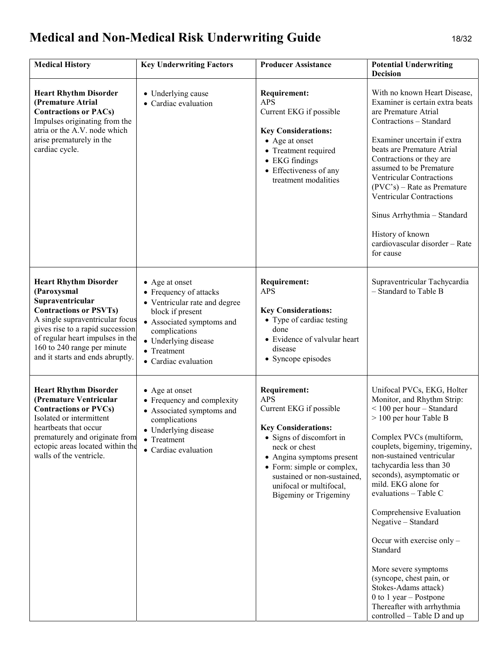# Medical and Non-Medical Risk Underwriting Guide 18/32

| <b>Medical History</b>                                                                                                                                                                                                                                                         | <b>Key Underwriting Factors</b>                                                                                                                                                                            | <b>Producer Assistance</b>                                                                                                                                                                                                                                                                   | <b>Potential Underwriting</b><br><b>Decision</b>                                                                                                                                                                                                                                                                                                                                                                                                                                                                                                                                        |
|--------------------------------------------------------------------------------------------------------------------------------------------------------------------------------------------------------------------------------------------------------------------------------|------------------------------------------------------------------------------------------------------------------------------------------------------------------------------------------------------------|----------------------------------------------------------------------------------------------------------------------------------------------------------------------------------------------------------------------------------------------------------------------------------------------|-----------------------------------------------------------------------------------------------------------------------------------------------------------------------------------------------------------------------------------------------------------------------------------------------------------------------------------------------------------------------------------------------------------------------------------------------------------------------------------------------------------------------------------------------------------------------------------------|
| <b>Heart Rhythm Disorder</b><br>(Premature Atrial<br><b>Contractions or PACs)</b><br>Impulses originating from the<br>atria or the A.V. node which<br>arise prematurely in the<br>cardiac cycle.                                                                               | • Underlying cause<br>• Cardiac evaluation                                                                                                                                                                 | <b>Requirement:</b><br><b>APS</b><br>Current EKG if possible<br><b>Key Considerations:</b><br>• Age at onset<br>• Treatment required<br>• EKG findings<br>• Effectiveness of any<br>treatment modalities                                                                                     | With no known Heart Disease,<br>Examiner is certain extra beats<br>are Premature Atrial<br>Contractions - Standard<br>Examiner uncertain if extra<br>beats are Premature Atrial<br>Contractions or they are<br>assumed to be Premature<br><b>Ventricular Contractions</b><br>$(PVC's)$ – Rate as Premature<br><b>Ventricular Contractions</b><br>Sinus Arrhythmia - Standard<br>History of known<br>cardiovascular disorder - Rate<br>for cause                                                                                                                                         |
| <b>Heart Rhythm Disorder</b><br>(Paroxysmal<br>Supraventricular<br><b>Contractions or PSVTs)</b><br>A single supraventricular focus<br>gives rise to a rapid succession<br>of regular heart impulses in the<br>160 to 240 range per minute<br>and it starts and ends abruptly. | • Age at onset<br>• Frequency of attacks<br>• Ventricular rate and degree<br>block if present<br>• Associated symptoms and<br>complications<br>• Underlying disease<br>• Treatment<br>• Cardiac evaluation | <b>Requirement:</b><br><b>APS</b><br><b>Key Considerations:</b><br>• Type of cardiac testing<br>done<br>• Evidence of valvular heart<br>disease<br>• Syncope episodes                                                                                                                        | Supraventricular Tachycardia<br>- Standard to Table B                                                                                                                                                                                                                                                                                                                                                                                                                                                                                                                                   |
| <b>Heart Rhythm Disorder</b><br>(Premature Ventricular<br><b>Contractions or PVCs)</b><br>Isolated or intermittent<br>heartbeats that occur<br>prematurely and originate from<br>ectopic areas located within the<br>walls of the ventricle.                                   | • Age at onset<br>• Frequency and complexity<br>• Associated symptoms and<br>complications<br>• Underlying disease<br>• Treatment<br>• Cardiac evaluation                                                  | <b>Requirement:</b><br><b>APS</b><br>Current EKG if possible<br><b>Key Considerations:</b><br>• Signs of discomfort in<br>neck or chest<br>• Angina symptoms present<br>• Form: simple or complex,<br>sustained or non-sustained,<br>unifocal or multifocal,<br><b>Bigeminy or Trigeminy</b> | Unifocal PVCs, EKG, Holter<br>Monitor, and Rhythm Strip:<br>$<$ 100 per hour – Standard<br>> 100 per hour Table B<br>Complex PVCs (multiform,<br>couplets, bigeminy, trigeminy,<br>non-sustained ventricular<br>tachycardia less than 30<br>seconds), asymptomatic or<br>mild. EKG alone for<br>evaluations - Table C<br>Comprehensive Evaluation<br>Negative – Standard<br>Occur with exercise only $-$<br>Standard<br>More severe symptoms<br>(syncope, chest pain, or<br>Stokes-Adams attack)<br>0 to 1 year - Postpone<br>Thereafter with arrhythmia<br>controlled – Table D and up |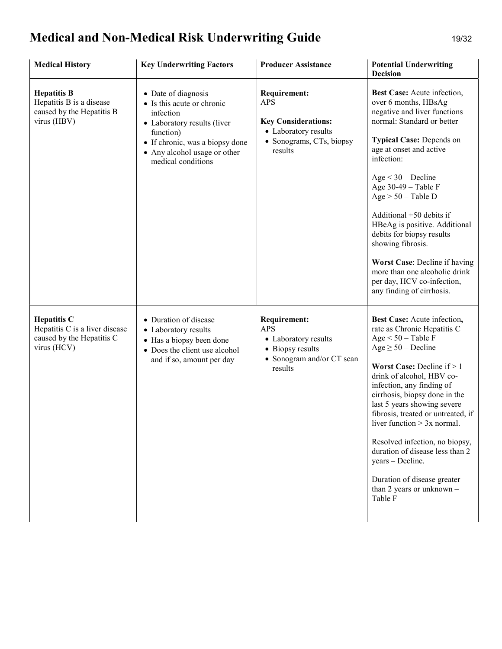# Medical and Non-Medical Risk Underwriting Guide 19/32

| <b>Medical History</b>                                                                           | <b>Key Underwriting Factors</b>                                                                                                                                                                     | <b>Producer Assistance</b>                                                                                                     | <b>Potential Underwriting</b><br><b>Decision</b>                                                                                                                                                                                                                                                                                                                                                                                                                                                                        |
|--------------------------------------------------------------------------------------------------|-----------------------------------------------------------------------------------------------------------------------------------------------------------------------------------------------------|--------------------------------------------------------------------------------------------------------------------------------|-------------------------------------------------------------------------------------------------------------------------------------------------------------------------------------------------------------------------------------------------------------------------------------------------------------------------------------------------------------------------------------------------------------------------------------------------------------------------------------------------------------------------|
| <b>Hepatitis B</b><br>Hepatitis B is a disease<br>caused by the Hepatitis B<br>virus (HBV)       | • Date of diagnosis<br>• Is this acute or chronic<br>infection<br>• Laboratory results (liver<br>function)<br>• If chronic, was a biopsy done<br>• Any alcohol usage or other<br>medical conditions | <b>Requirement:</b><br><b>APS</b><br><b>Key Considerations:</b><br>• Laboratory results<br>• Sonograms, CTs, biopsy<br>results | <b>Best Case:</b> Acute infection,<br>over 6 months, HBsAg<br>negative and liver functions<br>normal: Standard or better<br><b>Typical Case: Depends on</b><br>age at onset and active<br>infection:<br>$Age < 30 - Decline$<br>Age 30-49 - Table F<br>$Age > 50 - Table D$<br>Additional +50 debits if<br>HBeAg is positive. Additional<br>debits for biopsy results<br>showing fibrosis.<br>Worst Case: Decline if having<br>more than one alcoholic drink<br>per day, HCV co-infection,<br>any finding of cirrhosis. |
| <b>Hepatitis C</b><br>Hepatitis C is a liver disease<br>caused by the Hepatitis C<br>virus (HCV) | • Duration of disease<br>• Laboratory results<br>• Has a biopsy been done<br>• Does the client use alcohol<br>and if so, amount per day                                                             | <b>Requirement:</b><br><b>APS</b><br>• Laboratory results<br>• Biopsy results<br>• Sonogram and/or CT scan<br>results          | Best Case: Acute infection,<br>rate as Chronic Hepatitis C<br>Age $< 50$ – Table F<br>$Age \ge 50 - Decline$<br><b>Worst Case:</b> Decline if $> 1$<br>drink of alcohol, HBV co-<br>infection, any finding of<br>cirrhosis, biopsy done in the<br>last 5 years showing severe<br>fibrosis, treated or untreated, if<br>liver function $> 3x$ normal.<br>Resolved infection, no biopsy,<br>duration of disease less than 2<br>years - Decline.<br>Duration of disease greater<br>than 2 years or unknown $-$<br>Table F  |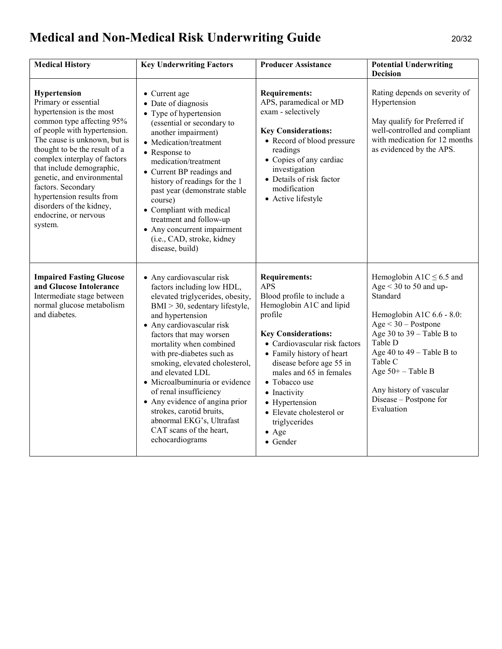# Medical and Non-Medical Risk Underwriting Guide 20/32

| <b>Medical History</b>                                                                                                                                                                                                                                                                                                                                                                                       | <b>Key Underwriting Factors</b>                                                                                                                                                                                                                                                                                                                                                                                                                                                                                              | <b>Producer Assistance</b>                                                                                                                                                                                                                                                                                                                                                              | <b>Potential Underwriting</b><br><b>Decision</b>                                                                                                                                                                                                                                                          |
|--------------------------------------------------------------------------------------------------------------------------------------------------------------------------------------------------------------------------------------------------------------------------------------------------------------------------------------------------------------------------------------------------------------|------------------------------------------------------------------------------------------------------------------------------------------------------------------------------------------------------------------------------------------------------------------------------------------------------------------------------------------------------------------------------------------------------------------------------------------------------------------------------------------------------------------------------|-----------------------------------------------------------------------------------------------------------------------------------------------------------------------------------------------------------------------------------------------------------------------------------------------------------------------------------------------------------------------------------------|-----------------------------------------------------------------------------------------------------------------------------------------------------------------------------------------------------------------------------------------------------------------------------------------------------------|
| Hypertension<br>Primary or essential<br>hypertension is the most<br>common type affecting 95%<br>of people with hypertension.<br>The cause is unknown, but is<br>thought to be the result of a<br>complex interplay of factors<br>that include demographic,<br>genetic, and environmental<br>factors. Secondary<br>hypertension results from<br>disorders of the kidney,<br>endocrine, or nervous<br>system. | • Current age<br>• Date of diagnosis<br>• Type of hypertension<br>(essential or secondary to<br>another impairment)<br>• Medication/treatment<br>• Response to<br>medication/treatment<br>• Current BP readings and<br>history of readings for the 1<br>past year (demonstrate stable<br>course)<br>• Compliant with medical<br>treatment and follow-up<br>• Any concurrent impairment<br>(i.e., CAD, stroke, kidney<br>disease, build)                                                                                      | <b>Requirements:</b><br>APS, paramedical or MD<br>exam - selectively<br><b>Key Considerations:</b><br>• Record of blood pressure<br>readings<br>• Copies of any cardiac<br>investigation<br>• Details of risk factor<br>modification<br>• Active lifestyle                                                                                                                              | Rating depends on severity of<br>Hypertension<br>May qualify for Preferred if<br>well-controlled and compliant<br>with medication for 12 months<br>as evidenced by the APS.                                                                                                                               |
| <b>Impaired Fasting Glucose</b><br>and Glucose Intolerance<br>Intermediate stage between<br>normal glucose metabolism<br>and diabetes.                                                                                                                                                                                                                                                                       | • Any cardiovascular risk<br>factors including low HDL,<br>elevated triglycerides, obesity,<br>BMI > 30, sedentary lifestyle,<br>and hypertension<br>• Any cardiovascular risk<br>factors that may worsen<br>mortality when combined<br>with pre-diabetes such as<br>smoking, elevated cholesterol,<br>and elevated LDL<br>· Microalbuminuria or evidence<br>of renal insufficiency<br>• Any evidence of angina prior<br>strokes, carotid bruits,<br>abnormal EKG's, Ultrafast<br>CAT scans of the heart,<br>echocardiograms | <b>Requirements:</b><br><b>APS</b><br>Blood profile to include a<br>Hemoglobin A1C and lipid<br>profile<br><b>Key Considerations:</b><br>• Cardiovascular risk factors<br>• Family history of heart<br>disease before age 55 in<br>males and 65 in females<br>• Tobacco use<br>• Inactivity<br>• Hypertension<br>• Elevate cholesterol or<br>triglycerides<br>$\bullet$ Age<br>• Gender | Hemoglobin A1C $\leq$ 6.5 and<br>Age $<$ 30 to 50 and up-<br>Standard<br>Hemoglobin A1C 6.6 - 8.0:<br>$Age < 30 - Postpone$<br>Age 30 to $39 -$ Table B to<br>Table D<br>Age 40 to $49 - Table B$ to<br>Table C<br>Age $50+$ - Table B<br>Any history of vascular<br>Disease - Postpone for<br>Evaluation |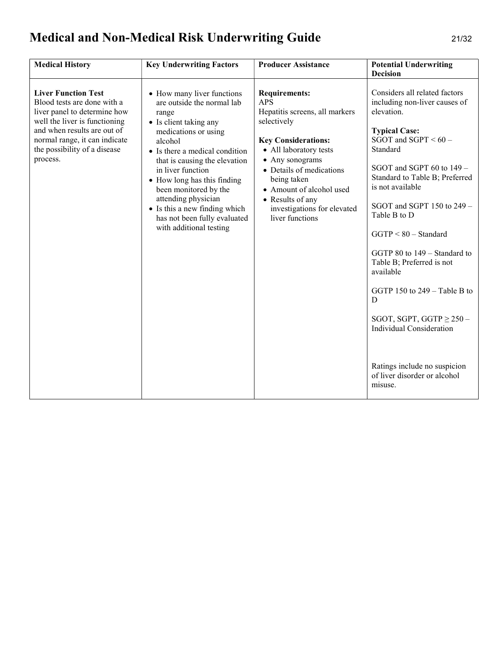# Medical and Non-Medical Risk Underwriting Guide 21/32

| <b>Medical History</b>                                                                                                                                                                                                                 | <b>Key Underwriting Factors</b>                                                                                                                                                                                                                                                                                                                                                                   | <b>Producer Assistance</b>                                                                                                                                                                                                                                                                                  | <b>Potential Underwriting</b><br><b>Decision</b>                                                                                                                                                                                                                                                                                                                                                                                                                                                                                                                      |
|----------------------------------------------------------------------------------------------------------------------------------------------------------------------------------------------------------------------------------------|---------------------------------------------------------------------------------------------------------------------------------------------------------------------------------------------------------------------------------------------------------------------------------------------------------------------------------------------------------------------------------------------------|-------------------------------------------------------------------------------------------------------------------------------------------------------------------------------------------------------------------------------------------------------------------------------------------------------------|-----------------------------------------------------------------------------------------------------------------------------------------------------------------------------------------------------------------------------------------------------------------------------------------------------------------------------------------------------------------------------------------------------------------------------------------------------------------------------------------------------------------------------------------------------------------------|
| <b>Liver Function Test</b><br>Blood tests are done with a<br>liver panel to determine how<br>well the liver is functioning<br>and when results are out of<br>normal range, it can indicate<br>the possibility of a disease<br>process. | • How many liver functions<br>are outside the normal lab<br>range<br>• Is client taking any<br>medications or using<br>alcohol<br>• Is there a medical condition<br>that is causing the elevation<br>in liver function<br>• How long has this finding<br>been monitored by the<br>attending physician<br>• Is this a new finding which<br>has not been fully evaluated<br>with additional testing | <b>Requirements:</b><br><b>APS</b><br>Hepatitis screens, all markers<br>selectively<br><b>Key Considerations:</b><br>• All laboratory tests<br>• Any sonograms<br>• Details of medications<br>being taken<br>• Amount of alcohol used<br>• Results of any<br>investigations for elevated<br>liver functions | Considers all related factors<br>including non-liver causes of<br>elevation.<br><b>Typical Case:</b><br>SGOT and SGPT $< 60 -$<br>Standard<br>SGOT and SGPT 60 to 149 -<br>Standard to Table B; Preferred<br>is not available<br>SGOT and SGPT 150 to 249 -<br>Table B to D<br>$GGTP < 80 - Standard$<br>GGTP 80 to 149 – Standard to<br>Table B; Preferred is not<br>available<br>GGTP 150 to $249 -$ Table B to<br>D<br>SGOT, SGPT, GGTP $\geq$ 250 –<br><b>Individual Consideration</b><br>Ratings include no suspicion<br>of liver disorder or alcohol<br>misuse. |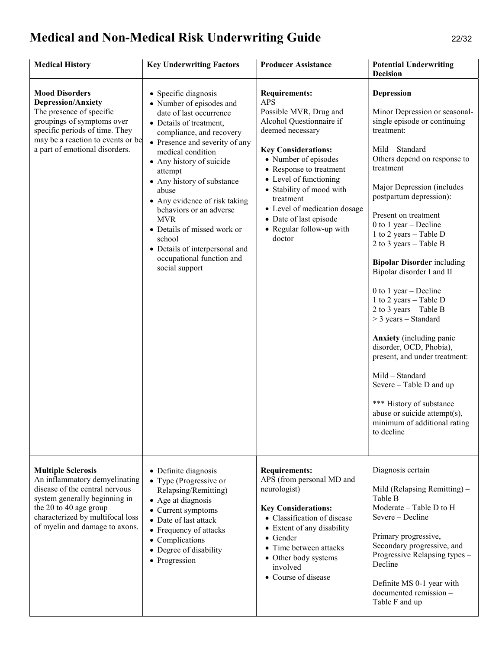# Medical and Non-Medical Risk Underwriting Guide 22/32

| <b>Medical History</b>                                                                                                                                                                                                        | <b>Key Underwriting Factors</b>                                                                                                                                                                                                                                                                                                                                                                                                                                             | <b>Producer Assistance</b>                                                                                                                                                                                                                                                                                                                                       | <b>Potential Underwriting</b><br><b>Decision</b>                                                                                                                                                                                                                                                                                                                                                                                                                                                                                                                                                                                                                                                                                                                   |
|-------------------------------------------------------------------------------------------------------------------------------------------------------------------------------------------------------------------------------|-----------------------------------------------------------------------------------------------------------------------------------------------------------------------------------------------------------------------------------------------------------------------------------------------------------------------------------------------------------------------------------------------------------------------------------------------------------------------------|------------------------------------------------------------------------------------------------------------------------------------------------------------------------------------------------------------------------------------------------------------------------------------------------------------------------------------------------------------------|--------------------------------------------------------------------------------------------------------------------------------------------------------------------------------------------------------------------------------------------------------------------------------------------------------------------------------------------------------------------------------------------------------------------------------------------------------------------------------------------------------------------------------------------------------------------------------------------------------------------------------------------------------------------------------------------------------------------------------------------------------------------|
| <b>Mood Disorders</b><br><b>Depression/Anxiety</b><br>The presence of specific<br>groupings of symptoms over<br>specific periods of time. They<br>may be a reaction to events or be<br>a part of emotional disorders.         | • Specific diagnosis<br>• Number of episodes and<br>date of last occurrence<br>• Details of treatment,<br>compliance, and recovery<br>• Presence and severity of any<br>medical condition<br>• Any history of suicide<br>attempt<br>• Any history of substance<br>abuse<br>• Any evidence of risk taking<br>behaviors or an adverse<br><b>MVR</b><br>• Details of missed work or<br>school<br>• Details of interpersonal and<br>occupational function and<br>social support | <b>Requirements:</b><br><b>APS</b><br>Possible MVR, Drug and<br>Alcohol Questionnaire if<br>deemed necessary<br><b>Key Considerations:</b><br>• Number of episodes<br>• Response to treatment<br>• Level of functioning<br>• Stability of mood with<br>treatment<br>• Level of medication dosage<br>• Date of last episode<br>• Regular follow-up with<br>doctor | <b>Depression</b><br>Minor Depression or seasonal-<br>single episode or continuing<br>treatment:<br>Mild - Standard<br>Others depend on response to<br>treatment<br>Major Depression (includes<br>postpartum depression):<br>Present on treatment<br>0 to 1 year – Decline<br>1 to 2 years - Table D<br>2 to 3 years – Table B<br><b>Bipolar Disorder including</b><br>Bipolar disorder I and II<br>0 to 1 year $-$ Decline<br>1 to 2 years - Table D<br>2 to 3 years $-$ Table B<br>$>$ 3 years – Standard<br><b>Anxiety</b> (including panic<br>disorder, OCD, Phobia),<br>present, and under treatment:<br>Mild - Standard<br>Severe - Table D and up<br>*** History of substance<br>abuse or suicide attempt(s),<br>minimum of additional rating<br>to decline |
| <b>Multiple Sclerosis</b><br>An inflammatory demyelinating<br>disease of the central nervous<br>system generally beginning in<br>the 20 to 40 age group<br>characterized by multifocal loss<br>of myelin and damage to axons. | • Definite diagnosis<br>• Type (Progressive or<br>Relapsing/Remitting)<br>• Age at diagnosis<br>• Current symptoms<br>• Date of last attack<br>• Frequency of attacks<br>• Complications<br>• Degree of disability<br>• Progression                                                                                                                                                                                                                                         | <b>Requirements:</b><br>APS (from personal MD and<br>neurologist)<br><b>Key Considerations:</b><br>• Classification of disease<br>Extent of any disability<br>Gender<br>Time between attacks<br>• Other body systems<br>involved<br>• Course of disease                                                                                                          | Diagnosis certain<br>Mild (Relapsing Remitting) -<br>Table B<br>Moderate - Table D to H<br>Severe - Decline<br>Primary progressive,<br>Secondary progressive, and<br>Progressive Relapsing types -<br>Decline<br>Definite MS 0-1 year with<br>documented remission -<br>Table F and up                                                                                                                                                                                                                                                                                                                                                                                                                                                                             |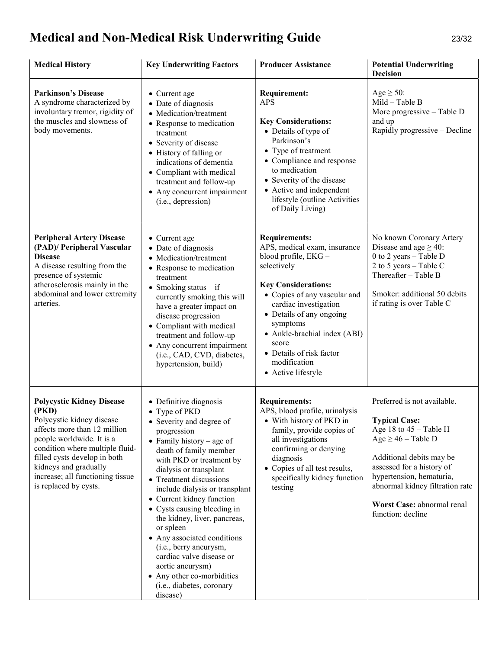# Medical and Non-Medical Risk Underwriting Guide 23/32

| <b>Medical History</b>                                                                                                                                                                                                                                                                       | <b>Key Underwriting Factors</b>                                                                                                                                                                                                                                                                                                                                                                                                                                                                                                                       | <b>Producer Assistance</b>                                                                                                                                                                                                                                                                                                           | <b>Potential Underwriting</b><br><b>Decision</b>                                                                                                                                                                                                                                      |
|----------------------------------------------------------------------------------------------------------------------------------------------------------------------------------------------------------------------------------------------------------------------------------------------|-------------------------------------------------------------------------------------------------------------------------------------------------------------------------------------------------------------------------------------------------------------------------------------------------------------------------------------------------------------------------------------------------------------------------------------------------------------------------------------------------------------------------------------------------------|--------------------------------------------------------------------------------------------------------------------------------------------------------------------------------------------------------------------------------------------------------------------------------------------------------------------------------------|---------------------------------------------------------------------------------------------------------------------------------------------------------------------------------------------------------------------------------------------------------------------------------------|
| <b>Parkinson's Disease</b><br>A syndrome characterized by<br>involuntary tremor, rigidity of<br>the muscles and slowness of<br>body movements.                                                                                                                                               | • Current age<br>• Date of diagnosis<br>• Medication/treatment<br>• Response to medication<br>treatment<br>• Severity of disease<br>• History of falling or<br>indications of dementia<br>• Compliant with medical<br>treatment and follow-up<br>• Any concurrent impairment<br>(i.e., depression)                                                                                                                                                                                                                                                    | <b>Requirement:</b><br><b>APS</b><br><b>Key Considerations:</b><br>• Details of type of<br>Parkinson's<br>• Type of treatment<br>• Compliance and response<br>to medication<br>• Severity of the disease<br>• Active and independent<br>lifestyle (outline Activities<br>of Daily Living)                                            | Age $\geq$ 50:<br>Mild - Table B<br>More progressive - Table D<br>and up<br>Rapidly progressive – Decline                                                                                                                                                                             |
| <b>Peripheral Artery Disease</b><br>(PAD)/ Peripheral Vascular<br><b>Disease</b><br>A disease resulting from the<br>presence of systemic<br>atherosclerosis mainly in the<br>abdominal and lower extremity<br>arteries.                                                                      | • Current age<br>• Date of diagnosis<br>• Medication/treatment<br>• Response to medication<br>treatment<br>• Smoking status $-$ if<br>currently smoking this will<br>have a greater impact on<br>disease progression<br>• Compliant with medical<br>treatment and follow-up<br>• Any concurrent impairment<br>(i.e., CAD, CVD, diabetes,<br>hypertension, build)                                                                                                                                                                                      | <b>Requirements:</b><br>APS, medical exam, insurance<br>blood profile, EKG-<br>selectively<br><b>Key Considerations:</b><br>• Copies of any vascular and<br>cardiac investigation<br>• Details of any ongoing<br>symptoms<br>• Ankle-brachial index (ABI)<br>score<br>• Details of risk factor<br>modification<br>• Active lifestyle | No known Coronary Artery<br>Disease and age $\geq$ 40:<br>0 to 2 years - Table D<br>2 to 5 years $-$ Table C<br>Thereafter - Table B<br>Smoker: additional 50 debits<br>if rating is over Table C                                                                                     |
| <b>Polycystic Kidney Disease</b><br>(PKD)<br>Polycystic kidney disease<br>affects more than 12 million<br>people worldwide. It is a<br>condition where multiple fluid-<br>filled cysts develop in both<br>kidneys and gradually<br>increase; all functioning tissue<br>is replaced by cysts. | • Definitive diagnosis<br>• Type of PKD<br>• Severity and degree of<br>progression<br>• Family history – age of<br>death of family member<br>with PKD or treatment by<br>dialysis or transplant<br>• Treatment discussions<br>include dialysis or transplant<br>• Current kidney function<br>• Cysts causing bleeding in<br>the kidney, liver, pancreas,<br>or spleen<br>• Any associated conditions<br>(i.e., berry aneurysm,<br>cardiac valve disease or<br>aortic aneurysm)<br>• Any other co-morbidities<br>(i.e., diabetes, coronary<br>disease) | <b>Requirements:</b><br>APS, blood profile, urinalysis<br>• With history of PKD in<br>family, provide copies of<br>all investigations<br>confirming or denying<br>diagnosis<br>• Copies of all test results,<br>specifically kidney function<br>testing                                                                              | Preferred is not available.<br><b>Typical Case:</b><br>Age 18 to $45 -$ Table H<br>$Age \geq 46$ – Table D<br>Additional debits may be<br>assessed for a history of<br>hypertension, hematuria,<br>abnormal kidney filtration rate<br>Worst Case: abnormal renal<br>function: decline |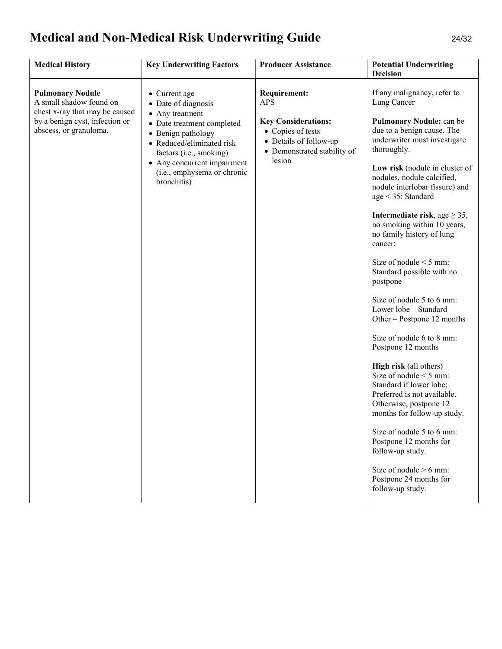# Medical and Non-Medical Risk Underwriting Guide 24/32

| <b>Medical History</b>                                                                                                                           | <b>Key Underwriting Factors</b>                                                                                                                                                                                                                  | <b>Producer Assistance</b>                                                                                                                              | <b>Potential Underwriting</b><br><b>Decision</b>                                                                                                                                                                                                                                                                                                                                                                                                                                                                                                                                                                                                                                                                                                                                                                                                                                                                                                 |
|--------------------------------------------------------------------------------------------------------------------------------------------------|--------------------------------------------------------------------------------------------------------------------------------------------------------------------------------------------------------------------------------------------------|---------------------------------------------------------------------------------------------------------------------------------------------------------|--------------------------------------------------------------------------------------------------------------------------------------------------------------------------------------------------------------------------------------------------------------------------------------------------------------------------------------------------------------------------------------------------------------------------------------------------------------------------------------------------------------------------------------------------------------------------------------------------------------------------------------------------------------------------------------------------------------------------------------------------------------------------------------------------------------------------------------------------------------------------------------------------------------------------------------------------|
| <b>Pulmonary Nodule</b><br>A small shadow found on<br>chest x-ray that may be caused<br>by a benign cyst, infection or<br>abscess, or granuloma. | • Current age<br>• Date of diagnosis<br>• Any treatment<br>• Date treatment completed<br>• Benign pathology<br>• Reduced/eliminated risk<br>factors (i.e., smoking)<br>• Any concurrent impairment<br>(i.e., emphysema or chronic<br>bronchitis) | <b>Requirement:</b><br><b>APS</b><br><b>Key Considerations:</b><br>• Copies of tests<br>• Details of follow-up<br>• Demonstrated stability of<br>lesion | If any malignancy, refer to<br>Lung Cancer<br>Pulmonary Nodule: can be<br>due to a benign cause. The<br>underwriter must investigate<br>thoroughly.<br>Low risk (nodule in cluster of<br>nodules, nodule calcified,<br>nodule interlobar fissure) and<br>age $<$ 35: Standard<br>Intermediate risk, age $\geq$ 35,<br>no smoking within 10 years,<br>no family history of lung<br>cancer:<br>Size of nodule $\leq$ 5 mm:<br>Standard possible with no<br>postpone<br>Size of nodule 5 to 6 mm:<br>Lower lobe - Standard<br>Other – Postpone 12 months<br>Size of nodule 6 to 8 mm:<br>Postpone 12 months<br><b>High risk</b> (all others)<br>Size of nodule $\leq$ 5 mm:<br>Standard if lower lobe;<br>Preferred is not available.<br>Otherwise, postpone 12<br>months for follow-up study.<br>Size of nodule 5 to 6 mm:<br>Postpone 12 months for<br>follow-up study.<br>Size of nodule $> 6$ mm:<br>Postpone 24 months for<br>follow-up study. |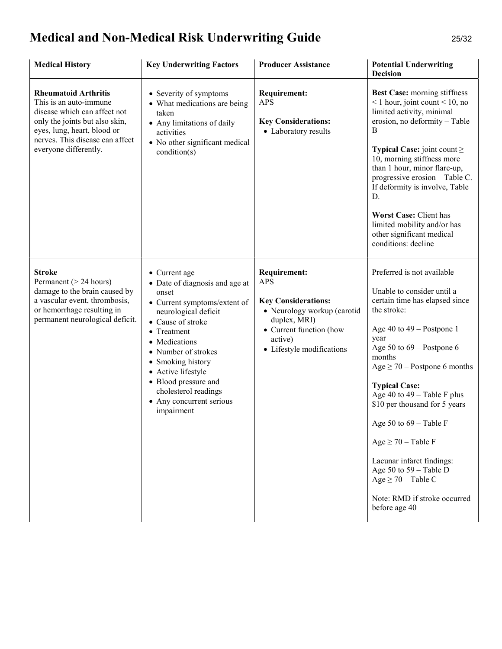# Medical and Non-Medical Risk Underwriting Guide 25/32

| <b>Medical History</b>                                                                                                                                                                                             | <b>Key Underwriting Factors</b>                                                                                                                                                                                                                                                                                                   | <b>Producer Assistance</b>                                                                                                                                                        | <b>Potential Underwriting</b><br><b>Decision</b>                                                                                                                                                                                                                                                                                                                                                                                                                                                                   |
|--------------------------------------------------------------------------------------------------------------------------------------------------------------------------------------------------------------------|-----------------------------------------------------------------------------------------------------------------------------------------------------------------------------------------------------------------------------------------------------------------------------------------------------------------------------------|-----------------------------------------------------------------------------------------------------------------------------------------------------------------------------------|--------------------------------------------------------------------------------------------------------------------------------------------------------------------------------------------------------------------------------------------------------------------------------------------------------------------------------------------------------------------------------------------------------------------------------------------------------------------------------------------------------------------|
| <b>Rheumatoid Arthritis</b><br>This is an auto-immune<br>disease which can affect not<br>only the joints but also skin,<br>eyes, lung, heart, blood or<br>nerves. This disease can affect<br>everyone differently. | • Severity of symptoms<br>• What medications are being<br>taken<br>• Any limitations of daily<br>activities<br>• No other significant medical<br>condition(s)                                                                                                                                                                     | <b>Requirement:</b><br><b>APS</b><br><b>Key Considerations:</b><br>• Laboratory results                                                                                           | <b>Best Case:</b> morning stiffness<br>$\leq 1$ hour, joint count $\leq 10$ , no<br>limited activity, minimal<br>erosion, no deformity - Table<br>B<br><b>Typical Case:</b> joint count $\geq$<br>10, morning stiffness more<br>than 1 hour, minor flare-up,<br>progressive erosion - Table C.<br>If deformity is involve, Table<br>D.<br>Worst Case: Client has<br>limited mobility and/or has<br>other significant medical<br>conditions: decline                                                                |
| <b>Stroke</b><br>Permanent (> 24 hours)<br>damage to the brain caused by<br>a vascular event, thrombosis,<br>or hemorrhage resulting in<br>permanent neurological deficit.                                         | • Current age<br>• Date of diagnosis and age at<br>onset<br>• Current symptoms/extent of<br>neurological deficit<br>• Cause of stroke<br>• Treatment<br>• Medications<br>• Number of strokes<br>• Smoking history<br>• Active lifestyle<br>• Blood pressure and<br>cholesterol readings<br>• Any concurrent serious<br>impairment | <b>Requirement:</b><br><b>APS</b><br><b>Key Considerations:</b><br>· Neurology workup (carotid<br>duplex, MRI)<br>• Current function (how<br>active)<br>• Lifestyle modifications | Preferred is not available<br>Unable to consider until a<br>certain time has elapsed since<br>the stroke:<br>Age 40 to $49 -$ Postpone 1<br>year<br>Age 50 to $69$ – Postpone 6<br>months<br>Age $\geq$ 70 – Postpone 6 months<br><b>Typical Case:</b><br>Age 40 to $49 - Table F$ plus<br>\$10 per thousand for 5 years<br>Age 50 to 69 - Table F<br>Age $\geq 70$ – Table F<br>Lacunar infarct findings:<br>Age 50 to $59 -$ Table D<br>Age $\geq$ 70 – Table C<br>Note: RMD if stroke occurred<br>before age 40 |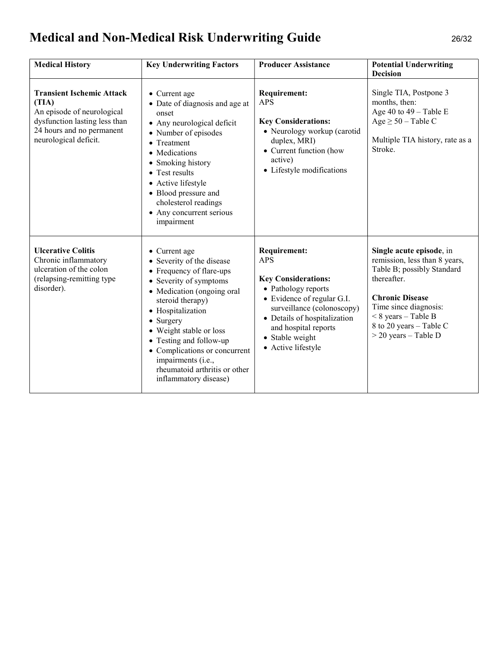# Medical and Non-Medical Risk Underwriting Guide 26/32

| <b>Medical History</b>                                                                                                                                         | <b>Key Underwriting Factors</b>                                                                                                                                                                                                                                                                                                                                     | <b>Producer Assistance</b>                                                                                                                                                                                                                          | <b>Potential Underwriting</b><br><b>Decision</b>                                                                                                                                                                                        |
|----------------------------------------------------------------------------------------------------------------------------------------------------------------|---------------------------------------------------------------------------------------------------------------------------------------------------------------------------------------------------------------------------------------------------------------------------------------------------------------------------------------------------------------------|-----------------------------------------------------------------------------------------------------------------------------------------------------------------------------------------------------------------------------------------------------|-----------------------------------------------------------------------------------------------------------------------------------------------------------------------------------------------------------------------------------------|
| <b>Transient Ischemic Attack</b><br>(TIA)<br>An episode of neurological<br>dysfunction lasting less than<br>24 hours and no permanent<br>neurological deficit. | • Current age<br>• Date of diagnosis and age at<br>onset<br>• Any neurological deficit<br>• Number of episodes<br>• Treatment<br>• Medications<br>• Smoking history<br>• Test results<br>• Active lifestyle<br>• Blood pressure and<br>cholesterol readings<br>• Any concurrent serious<br>impairment                                                               | <b>Requirement:</b><br><b>APS</b><br><b>Key Considerations:</b><br>• Neurology workup (carotid<br>duplex, MRI)<br>• Current function (how<br>active)<br>• Lifestyle modifications                                                                   | Single TIA, Postpone 3<br>months, then:<br>Age 40 to $49 - Table E$<br>Age $\geq$ 50 – Table C<br>Multiple TIA history, rate as a<br>Stroke.                                                                                            |
| <b>Ulcerative Colitis</b><br>Chronic inflammatory<br>ulceration of the colon<br>(relapsing-remitting type<br>disorder).                                        | • Current age<br>• Severity of the disease<br>• Frequency of flare-ups<br>• Severity of symptoms<br>• Medication (ongoing oral<br>steroid therapy)<br>• Hospitalization<br>$\bullet$ Surgery<br>• Weight stable or loss<br>• Testing and follow-up<br>• Complications or concurrent<br>impairments (i.e.,<br>rheumatoid arthritis or other<br>inflammatory disease) | <b>Requirement:</b><br><b>APS</b><br><b>Key Considerations:</b><br>• Pathology reports<br>• Evidence of regular G.I.<br>surveillance (colonoscopy)<br>• Details of hospitalization<br>and hospital reports<br>• Stable weight<br>• Active lifestyle | Single acute episode, in<br>remission, less than 8 years,<br>Table B; possibly Standard<br>thereafter.<br><b>Chronic Disease</b><br>Time since diagnosis:<br>$< 8$ years - Table B<br>8 to 20 years - Table C<br>$>$ 20 years - Table D |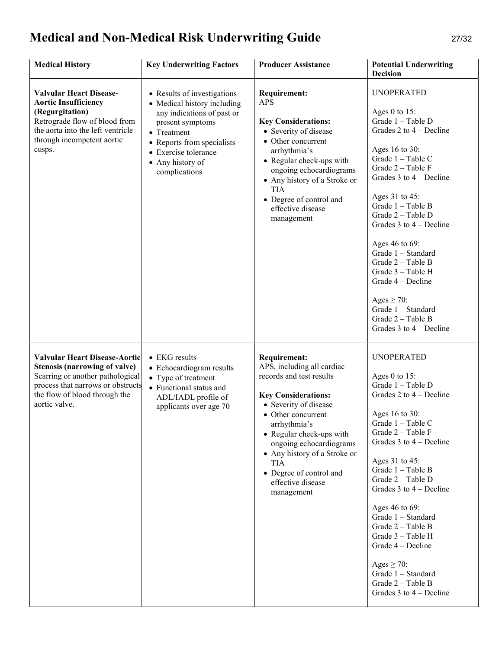# Medical and Non-Medical Risk Underwriting Guide 27/32

| <b>Medical History</b>                                                                                                                                                                                  | <b>Key Underwriting Factors</b>                                                                                                                                                                                        | <b>Producer Assistance</b>                                                                                                                                                                                                                                                                                                                    | <b>Potential Underwriting</b><br><b>Decision</b>                                                                                                                                                                                                                                                                                                                                                                                                                                        |
|---------------------------------------------------------------------------------------------------------------------------------------------------------------------------------------------------------|------------------------------------------------------------------------------------------------------------------------------------------------------------------------------------------------------------------------|-----------------------------------------------------------------------------------------------------------------------------------------------------------------------------------------------------------------------------------------------------------------------------------------------------------------------------------------------|-----------------------------------------------------------------------------------------------------------------------------------------------------------------------------------------------------------------------------------------------------------------------------------------------------------------------------------------------------------------------------------------------------------------------------------------------------------------------------------------|
| <b>Valvular Heart Disease-</b><br><b>Aortic Insufficiency</b><br>(Regurgitation)<br>Retrograde flow of blood from<br>the aorta into the left ventricle<br>through incompetent aortic<br>cusps.          | • Results of investigations<br>• Medical history including<br>any indications of past or<br>present symptoms<br>• Treatment<br>• Reports from specialists<br>• Exercise tolerance<br>• Any history of<br>complications | <b>Requirement:</b><br><b>APS</b><br><b>Key Considerations:</b><br>• Severity of disease<br>• Other concurrent<br>arrhythmia's<br>• Regular check-ups with<br>ongoing echocardiograms<br>• Any history of a Stroke or<br>TIA<br>• Degree of control and<br>effective disease<br>management                                                    | <b>UNOPERATED</b><br>Ages 0 to $15$ :<br>Grade 1 - Table D<br>Grades 2 to 4 – Decline<br>Ages 16 to 30:<br>Grade 1 - Table C<br>Grade 2 - Table F<br>Grades $3$ to $4$ – Decline<br>Ages 31 to 45:<br>Grade 1 - Table B<br>Grade 2 - Table D<br>Grades $3$ to $4$ – Decline<br>Ages 46 to 69:<br>Grade 1 - Standard<br>Grade 2 - Table B<br>Grade 3 – Table H<br>Grade $4 -$ Decline<br>Ages $\geq$ 70:<br>Grade 1 - Standard<br>Grade 2 - Table B<br>Grades $3$ to $4$ – Decline       |
| <b>Valvular Heart Disease-Aortic</b><br><b>Stenosis (narrowing of valve)</b><br>Scarring or another pathological<br>process that narrows or obstructs<br>the flow of blood through the<br>aortic valve. | $\bullet$ EKG results<br>• Echocardiogram results<br>• Type of treatment<br>• Functional status and<br>ADL/IADL profile of<br>applicants over age 70                                                                   | <b>Requirement:</b><br>APS, including all cardiac<br>records and test results<br><b>Key Considerations:</b><br>• Severity of disease<br>• Other concurrent<br>arrhythmia's<br>• Regular check-ups with<br>ongoing echocardiograms<br>• Any history of a Stroke or<br><b>TIA</b><br>• Degree of control and<br>effective disease<br>management | <b>UNOPERATED</b><br>Ages 0 to $15$ :<br>Grade 1 - Table D<br>Grades 2 to $4$ – Decline<br>Ages 16 to 30:<br>Grade 1 - Table C<br>Grade 2 - Table F<br>Grades $3$ to $4$ – Decline<br>Ages 31 to 45:<br>Grade $1 - Table B$<br>Grade 2 - Table D<br>Grades $3$ to $4$ – Decline<br>Ages 46 to 69:<br>Grade 1 - Standard<br>Grade $2 - Table B$<br>Grade 3 - Table H<br>Grade 4 – Decline<br>Ages $\geq$ 70:<br>Grade 1 - Standard<br>Grade $2 - Table B$<br>Grades $3$ to $4$ – Decline |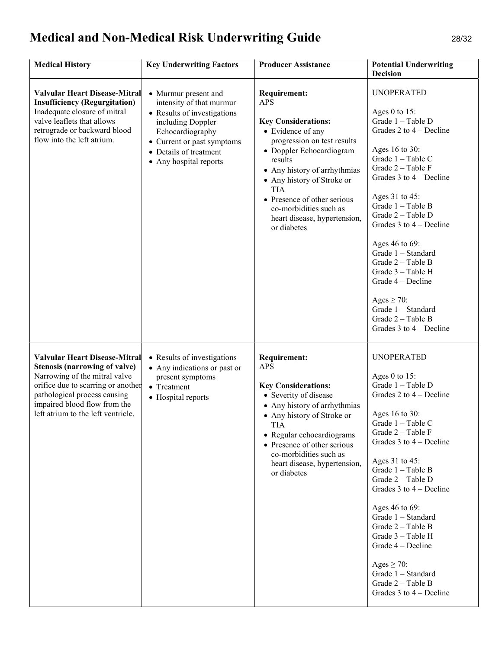# Medical and Non-Medical Risk Underwriting Guide 28/32

| <b>Medical History</b>                                                                                                                                                                                                                                    | <b>Key Underwriting Factors</b>                                                                                                                                                                            | <b>Producer Assistance</b>                                                                                                                                                                                                                                                                                                                     | <b>Potential Underwriting</b><br><b>Decision</b>                                                                                                                                                                                                                                                                                                                                                                                                                                     |
|-----------------------------------------------------------------------------------------------------------------------------------------------------------------------------------------------------------------------------------------------------------|------------------------------------------------------------------------------------------------------------------------------------------------------------------------------------------------------------|------------------------------------------------------------------------------------------------------------------------------------------------------------------------------------------------------------------------------------------------------------------------------------------------------------------------------------------------|--------------------------------------------------------------------------------------------------------------------------------------------------------------------------------------------------------------------------------------------------------------------------------------------------------------------------------------------------------------------------------------------------------------------------------------------------------------------------------------|
| <b>Valvular Heart Disease-Mitral</b><br><b>Insufficiency (Regurgitation)</b><br>Inadequate closure of mitral<br>valve leaflets that allows<br>retrograde or backward blood<br>flow into the left atrium.                                                  | • Murmur present and<br>intensity of that murmur<br>• Results of investigations<br>including Doppler<br>Echocardiography<br>• Current or past symptoms<br>• Details of treatment<br>• Any hospital reports | <b>Requirement:</b><br><b>APS</b><br><b>Key Considerations:</b><br>• Evidence of any<br>progression on test results<br>• Doppler Echocardiogram<br>results<br>• Any history of arrhythmias<br>• Any history of Stroke or<br><b>TIA</b><br>• Presence of other serious<br>co-morbidities such as<br>heart disease, hypertension,<br>or diabetes | <b>UNOPERATED</b><br>Ages $0$ to 15:<br>Grade 1 - Table D<br>Grades 2 to $4$ – Decline<br>Ages 16 to 30:<br>Grade 1 - Table C<br>Grade 2 - Table F<br>Grades $3$ to $4$ – Decline<br>Ages 31 to 45:<br>Grade 1 - Table B<br>Grade 2 - Table D<br>Grades $3$ to $4$ – Decline<br>Ages 46 to 69:<br>Grade 1 - Standard<br>Grade 2 - Table B<br>Grade 3 - Table H<br>Grade 4 – Decline<br>Ages $\geq$ 70:<br>Grade 1 - Standard<br>Grade 2 - Table B<br>Grades $3$ to $4$ – Decline     |
| <b>Valvular Heart Disease-Mitral</b><br><b>Stenosis (narrowing of valve)</b><br>Narrowing of the mitral valve<br>orifice due to scarring or another<br>pathological process causing<br>impaired blood flow from the<br>left atrium to the left ventricle. | • Results of investigations<br>• Any indications or past or<br>present symptoms<br>• Treatment<br>• Hospital reports                                                                                       | <b>Requirement:</b><br><b>APS</b><br><b>Key Considerations:</b><br>• Severity of disease<br>• Any history of arrhythmias<br>• Any history of Stroke or<br>TIA<br>• Regular echocardiograms<br>• Presence of other serious<br>co-morbidities such as<br>heart disease, hypertension,<br>or diabetes                                             | <b>UNOPERATED</b><br>Ages $0$ to 15:<br>Grade 1 - Table D<br>Grades $2$ to $4$ – Decline<br>Ages 16 to 30:<br>Grade 1 - Table C<br>Grade $2 - Table F$<br>Grades $3$ to $4$ – Decline<br>Ages 31 to 45:<br>Grade 1 - Table B<br>Grade 2 - Table D<br>Grades $3$ to $4$ – Decline<br>Ages 46 to 69:<br>Grade 1 - Standard<br>Grade 2 - Table B<br>Grade 3 - Table H<br>Grade 4 – Decline<br>Ages $\geq$ 70:<br>Grade 1 - Standard<br>Grade 2 - Table B<br>Grades $3$ to $4$ – Decline |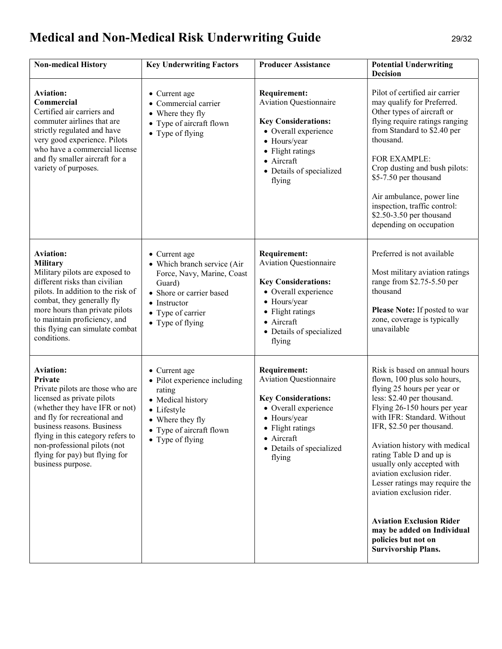# Medical and Non-Medical Risk Underwriting Guide 29/32

| <b>Non-medical History</b>                                                                                                                                                                                                                                                                                                | <b>Key Underwriting Factors</b>                                                                                                                                                   | <b>Producer Assistance</b>                                                                                                                                                                         | <b>Potential Underwriting</b><br><b>Decision</b>                                                                                                                                                                                                                                                                                                                                                                                                                                                                                   |
|---------------------------------------------------------------------------------------------------------------------------------------------------------------------------------------------------------------------------------------------------------------------------------------------------------------------------|-----------------------------------------------------------------------------------------------------------------------------------------------------------------------------------|----------------------------------------------------------------------------------------------------------------------------------------------------------------------------------------------------|------------------------------------------------------------------------------------------------------------------------------------------------------------------------------------------------------------------------------------------------------------------------------------------------------------------------------------------------------------------------------------------------------------------------------------------------------------------------------------------------------------------------------------|
| <b>Aviation:</b><br>Commercial<br>Certified air carriers and<br>commuter airlines that are<br>strictly regulated and have<br>very good experience. Pilots<br>who have a commercial license<br>and fly smaller aircraft for a<br>variety of purposes.                                                                      | • Current age<br>• Commercial carrier<br>• Where they fly<br>• Type of aircraft flown<br>$\bullet$ Type of flying                                                                 | <b>Requirement:</b><br><b>Aviation Questionnaire</b><br><b>Key Considerations:</b><br>• Overall experience<br>• Hours/year<br>• Flight ratings<br>• Aircraft<br>• Details of specialized<br>flying | Pilot of certified air carrier<br>may qualify for Preferred.<br>Other types of aircraft or<br>flying require ratings ranging<br>from Standard to \$2.40 per<br>thousand.<br>FOR EXAMPLE:<br>Crop dusting and bush pilots:<br>\$5-7.50 per thousand<br>Air ambulance, power line<br>inspection, traffic control:<br>\$2.50-3.50 per thousand<br>depending on occupation                                                                                                                                                             |
| <b>Aviation:</b><br><b>Military</b><br>Military pilots are exposed to<br>different risks than civilian<br>pilots. In addition to the risk of<br>combat, they generally fly<br>more hours than private pilots<br>to maintain proficiency, and<br>this flying can simulate combat<br>conditions.                            | • Current age<br>• Which branch service (Air<br>Force, Navy, Marine, Coast<br>Guard)<br>• Shore or carrier based<br>$\bullet$ Instructor<br>• Type of carrier<br>• Type of flying | <b>Requirement:</b><br><b>Aviation Questionnaire</b><br><b>Key Considerations:</b><br>• Overall experience<br>• Hours/year<br>• Flight ratings<br>• Aircraft<br>• Details of specialized<br>flying | Preferred is not available<br>Most military aviation ratings<br>range from \$2.75-5.50 per<br>thousand<br>Please Note: If posted to war<br>zone, coverage is typically<br>unavailable                                                                                                                                                                                                                                                                                                                                              |
| <b>Aviation:</b><br>Private<br>Private pilots are those who are<br>licensed as private pilots<br>(whether they have IFR or not)<br>and fly for recreational and<br>business reasons. Business<br>flying in this category refers to<br>non-professional pilots (not<br>flying for pay) but flying for<br>business purpose. | • Current age<br>• Pilot experience including<br>rating<br>• Medical history<br>• Lifestyle<br>• Where they fly<br>• Type of aircraft flown<br>• Type of flying                   | <b>Requirement:</b><br><b>Aviation Questionnaire</b><br><b>Key Considerations:</b><br>• Overall experience<br>• Hours/year<br>• Flight ratings<br>• Aircraft<br>• Details of specialized<br>flying | Risk is based on annual hours<br>flown, 100 plus solo hours,<br>flying 25 hours per year or<br>less: \$2.40 per thousand.<br>Flying 26-150 hours per year<br>with IFR: Standard. Without<br>IFR, \$2.50 per thousand.<br>Aviation history with medical<br>rating Table D and up is<br>usually only accepted with<br>aviation exclusion rider.<br>Lesser ratings may require the<br>aviation exclusion rider.<br><b>Aviation Exclusion Rider</b><br>may be added on Individual<br>policies but not on<br><b>Survivorship Plans.</b> |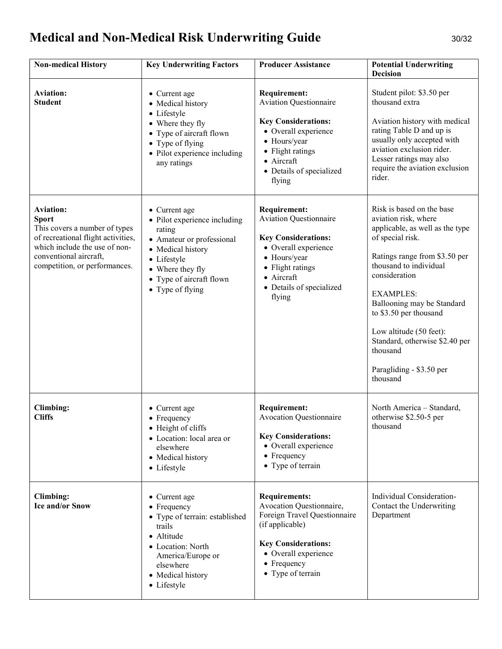# Medical and Non-Medical Risk Underwriting Guide 30/32

| <b>Non-medical History</b>                                                                                                                                                                          | <b>Key Underwriting Factors</b>                                                                                                                                                              | <b>Producer Assistance</b>                                                                                                                                                                                 | <b>Potential Underwriting</b><br><b>Decision</b>                                                                                                                                                                                                                                                                                                                                  |
|-----------------------------------------------------------------------------------------------------------------------------------------------------------------------------------------------------|----------------------------------------------------------------------------------------------------------------------------------------------------------------------------------------------|------------------------------------------------------------------------------------------------------------------------------------------------------------------------------------------------------------|-----------------------------------------------------------------------------------------------------------------------------------------------------------------------------------------------------------------------------------------------------------------------------------------------------------------------------------------------------------------------------------|
| <b>Aviation:</b><br><b>Student</b>                                                                                                                                                                  | • Current age<br>• Medical history<br>• Lifestyle<br>• Where they fly<br>• Type of aircraft flown<br>• Type of flying<br>• Pilot experience including<br>any ratings                         | <b>Requirement:</b><br><b>Aviation Questionnaire</b><br><b>Key Considerations:</b><br>• Overall experience<br>• Hours/year<br>• Flight ratings<br>$\bullet$ Aircraft<br>• Details of specialized<br>flying | Student pilot: \$3.50 per<br>thousand extra<br>Aviation history with medical<br>rating Table D and up is<br>usually only accepted with<br>aviation exclusion rider.<br>Lesser ratings may also<br>require the aviation exclusion<br>rider.                                                                                                                                        |
| <b>Aviation:</b><br><b>Sport</b><br>This covers a number of types<br>of recreational flight activities,<br>which include the use of non-<br>conventional aircraft.<br>competition, or performances. | • Current age<br>• Pilot experience including<br>rating<br>• Amateur or professional<br>• Medical history<br>• Lifestyle<br>• Where they fly<br>• Type of aircraft flown<br>• Type of flying | <b>Requirement:</b><br><b>Aviation Questionnaire</b><br><b>Key Considerations:</b><br>• Overall experience<br>• Hours/year<br>• Flight ratings<br>• Aircraft<br>• Details of specialized<br>flying         | Risk is based on the base<br>aviation risk, where<br>applicable, as well as the type<br>of special risk.<br>Ratings range from \$3.50 per<br>thousand to individual<br>consideration<br><b>EXAMPLES:</b><br>Ballooning may be Standard<br>to \$3.50 per thousand<br>Low altitude (50 feet):<br>Standard, otherwise \$2.40 per<br>thousand<br>Paragliding - \$3.50 per<br>thousand |
| <b>Climbing:</b><br><b>Cliffs</b>                                                                                                                                                                   | • Current age<br>• Frequency<br>• Height of cliffs<br>• Location: local area or<br>elsewhere<br>• Medical history<br>• Lifestyle                                                             | <b>Requirement:</b><br><b>Avocation Questionnaire</b><br><b>Key Considerations:</b><br>• Overall experience<br>• Frequency<br>• Type of terrain                                                            | North America - Standard,<br>otherwise \$2.50-5 per<br>thousand                                                                                                                                                                                                                                                                                                                   |
| Climbing:<br><b>Ice and/or Snow</b>                                                                                                                                                                 | • Current age<br>$\bullet$ Frequency<br>• Type of terrain: established<br>trails<br>• Altitude<br>• Location: North<br>America/Europe or<br>elsewhere<br>• Medical history<br>• Lifestyle    | <b>Requirements:</b><br>Avocation Questionnaire,<br>Foreign Travel Questionnaire<br>(if applicable)<br><b>Key Considerations:</b><br>• Overall experience<br>• Frequency<br>• Type of terrain              | Individual Consideration-<br>Contact the Underwriting<br>Department                                                                                                                                                                                                                                                                                                               |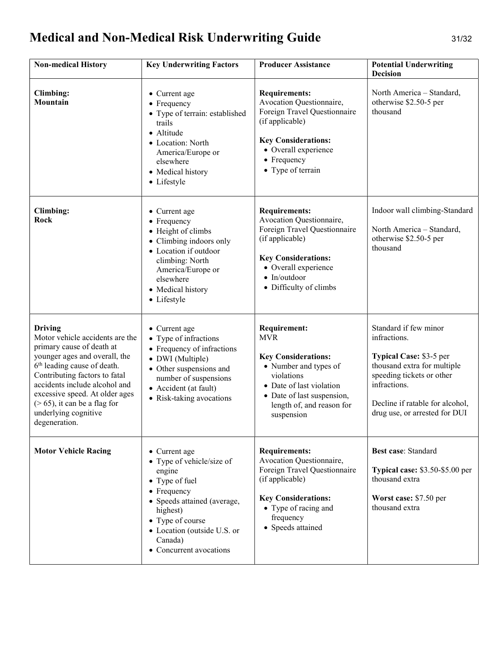# Medical and Non-Medical Risk Underwriting Guide 31/32

| <b>Non-medical History</b>                                                                                                                                                                                                                                                                                                                | <b>Key Underwriting Factors</b>                                                                                                                                                                                           | <b>Producer Assistance</b>                                                                                                                                                                                  | <b>Potential Underwriting</b><br><b>Decision</b>                                                                                                                                                                 |
|-------------------------------------------------------------------------------------------------------------------------------------------------------------------------------------------------------------------------------------------------------------------------------------------------------------------------------------------|---------------------------------------------------------------------------------------------------------------------------------------------------------------------------------------------------------------------------|-------------------------------------------------------------------------------------------------------------------------------------------------------------------------------------------------------------|------------------------------------------------------------------------------------------------------------------------------------------------------------------------------------------------------------------|
| Climbing:<br>Mountain                                                                                                                                                                                                                                                                                                                     | • Current age<br>$\bullet$ Frequency<br>• Type of terrain: established<br>trails<br>• Altitude<br>• Location: North<br>America/Europe or<br>elsewhere<br>• Medical history<br>• Lifestyle                                 | <b>Requirements:</b><br>Avocation Questionnaire,<br>Foreign Travel Questionnaire<br>(if applicable)<br><b>Key Considerations:</b><br>• Overall experience<br>$\bullet$ Frequency<br>• Type of terrain       | North America – Standard,<br>otherwise \$2.50-5 per<br>thousand                                                                                                                                                  |
| <b>Climbing:</b><br>Rock                                                                                                                                                                                                                                                                                                                  | • Current age<br>$\bullet$ Frequency<br>• Height of climbs<br>• Climbing indoors only<br>• Location if outdoor<br>climbing: North<br>America/Europe or<br>elsewhere<br>• Medical history<br>• Lifestyle                   | <b>Requirements:</b><br>Avocation Questionnaire,<br>Foreign Travel Questionnaire<br>(if applicable)<br><b>Key Considerations:</b><br>• Overall experience<br>$\bullet$ In/outdoor<br>• Difficulty of climbs | Indoor wall climbing-Standard<br>North America - Standard,<br>otherwise \$2.50-5 per<br>thousand                                                                                                                 |
| <b>Driving</b><br>Motor vehicle accidents are the<br>primary cause of death at<br>younger ages and overall, the<br>6 <sup>th</sup> leading cause of death.<br>Contributing factors to fatal<br>accidents include alcohol and<br>excessive speed. At older ages<br>$($ >65), it can be a flag for<br>underlying cognitive<br>degeneration. | • Current age<br>• Type of infractions<br>• Frequency of infractions<br>• DWI (Multiple)<br>• Other suspensions and<br>number of suspensions<br>• Accident (at fault)<br>• Risk-taking avocations                         | <b>Requirement:</b><br><b>MVR</b><br><b>Key Considerations:</b><br>• Number and types of<br>violations<br>• Date of last violation<br>• Date of last suspension,<br>length of, and reason for<br>suspension | Standard if few minor<br>infractions.<br>Typical Case: \$3-5 per<br>thousand extra for multiple<br>speeding tickets or other<br>infractions.<br>Decline if ratable for alcohol,<br>drug use, or arrested for DUI |
| <b>Motor Vehicle Racing</b>                                                                                                                                                                                                                                                                                                               | • Current age<br>• Type of vehicle/size of<br>engine<br>• Type of fuel<br>• Frequency<br>• Speeds attained (average,<br>highest)<br>• Type of course<br>• Location (outside U.S. or<br>Canada)<br>• Concurrent avocations | <b>Requirements:</b><br>Avocation Questionnaire,<br>Foreign Travel Questionnaire<br>(if applicable)<br><b>Key Considerations:</b><br>• Type of racing and<br>frequency<br>• Speeds attained                 | <b>Best case: Standard</b><br><b>Typical case:</b> $$3.50-S5.00$ per<br>thousand extra<br>Worst case: \$7.50 per<br>thousand extra                                                                               |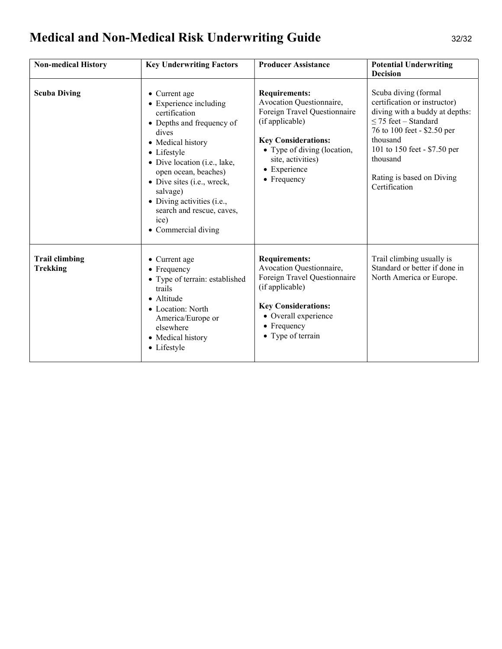# Medical and Non-Medical Risk Underwriting Guide 32/32

| <b>Non-medical History</b>               | <b>Key Underwriting Factors</b>                                                                                                                                                                                                                                                                                                | <b>Producer Assistance</b>                                                                                                                                                                                                   | <b>Potential Underwriting</b><br><b>Decision</b>                                                                                                                                                                                                         |
|------------------------------------------|--------------------------------------------------------------------------------------------------------------------------------------------------------------------------------------------------------------------------------------------------------------------------------------------------------------------------------|------------------------------------------------------------------------------------------------------------------------------------------------------------------------------------------------------------------------------|----------------------------------------------------------------------------------------------------------------------------------------------------------------------------------------------------------------------------------------------------------|
| <b>Scuba Diving</b>                      | • Current age<br>• Experience including<br>certification<br>• Depths and frequency of<br>dives<br>• Medical history<br>• Lifestyle<br>• Dive location (i.e., lake,<br>open ocean, beaches)<br>• Dive sites (i.e., wreck,<br>salvage)<br>• Diving activities (i.e.,<br>search and rescue, caves,<br>ice)<br>• Commercial diving | <b>Requirements:</b><br>Avocation Questionnaire,<br>Foreign Travel Questionnaire<br>(if applicable)<br><b>Key Considerations:</b><br>• Type of diving (location,<br>site, activities)<br>• Experience<br>$\bullet$ Frequency | Scuba diving (formal<br>certification or instructor)<br>diving with a buddy at depths:<br>$\leq$ 75 feet – Standard<br>76 to 100 feet - \$2.50 per<br>thousand<br>101 to 150 feet - \$7.50 per<br>thousand<br>Rating is based on Diving<br>Certification |
| <b>Trail climbing</b><br><b>Trekking</b> | • Current age<br>$\bullet$ Frequency<br>• Type of terrain: established<br>trails<br>• Altitude<br>· Location: North<br>America/Europe or<br>elsewhere<br>• Medical history<br>• Lifestyle                                                                                                                                      | <b>Requirements:</b><br>Avocation Questionnaire,<br>Foreign Travel Questionnaire<br>(if applicable)<br><b>Key Considerations:</b><br>• Overall experience<br>$\bullet$ Frequency<br>• Type of terrain                        | Trail climbing usually is<br>Standard or better if done in<br>North America or Europe.                                                                                                                                                                   |